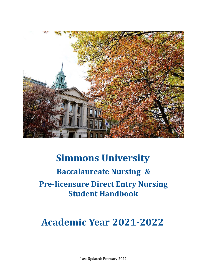

# **Simmons University Baccalaureate Nursing & Pre-licensure Direct Entry Nursing Student Handbook**

# **Academic Year 2021-2022**

Last Updated: February 2022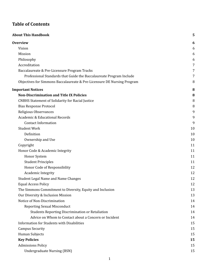## **Table of Contents**

| <b>About This Handbook</b>                                              | 5  |
|-------------------------------------------------------------------------|----|
| <b>Overview</b>                                                         | 6  |
| Vision                                                                  | 6  |
| Mission                                                                 | 6  |
| Philosophy                                                              | 6  |
| Accreditation                                                           | 7  |
| Baccalaureate & Pre-Licensure Program Tracks                            | 7  |
| Professional Standards that Guide the Baccalaureate Program Include     | 7  |
| Objectives for Simmons Baccalaureate & Pre-Licensure DE Nursing Program | 8  |
| <b>Important Notices</b>                                                | 8  |
| <b>Non-Discrimination and Title IX Policies</b>                         | 8  |
| <b>CNBHS Statement of Solidarity for Racial Justice</b>                 | 8  |
| <b>Bias Response Protocol</b>                                           | 8  |
| Religious Observances                                                   | 9  |
| Academic & Educational Records                                          | 9  |
| <b>Contact Information</b>                                              | 9  |
| <b>Student Work</b>                                                     | 10 |
| Definition                                                              | 10 |
| Ownership and Use                                                       | 10 |
| Copyright                                                               | 11 |
| Honor Code & Academic Integrity                                         | 11 |
| Honor System                                                            | 11 |
| <b>Student Principles</b>                                               | 11 |
| Honor Code of Responsibility                                            | 12 |
| Academic Integrity                                                      | 12 |
| <b>Student Legal Name and Name Changes</b>                              | 12 |
| <b>Equal Access Policy</b>                                              | 12 |
| The Simmons Commitment to Diversity, Equity and Inclusion               | 13 |
| Our Diversity & Inclusion Mission                                       | 13 |
| Notice of Non-Discrimination                                            | 14 |
| <b>Reporting Sexual Misconduct</b>                                      | 14 |
| <b>Students Reporting Discrimination or Retaliation</b>                 | 14 |
| Advice on Whom to Contact about a Concern or Incident                   | 14 |
| Information for Students with Disabilities                              | 15 |
| <b>Campus Security</b>                                                  | 15 |
| Human Subjects                                                          | 15 |
| <b>Key Policies</b>                                                     | 15 |
| <b>Admissions Policy</b>                                                | 15 |
| <b>Undergraduate Nursing (BSN)</b>                                      | 15 |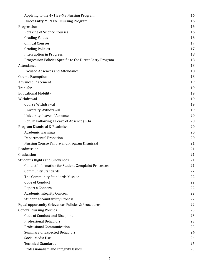| Applying to the 4+1 BS-MS Nursing Program                  | 16 |
|------------------------------------------------------------|----|
| Direct Entry MSN FNP Nursing Program                       | 16 |
| Progression                                                | 16 |
| <b>Retaking of Science Courses</b>                         | 16 |
| <b>Grading Values</b>                                      | 16 |
| <b>Clinical Courses</b>                                    | 17 |
| <b>Grading Policies</b>                                    | 17 |
| <b>Interruption in Progress</b>                            | 18 |
| Progression Policies Specific to the Direct Entry Program  | 18 |
| Attendance                                                 | 18 |
| <b>Excused Absences and Attendance</b>                     | 18 |
| <b>Course Exemption</b>                                    | 18 |
| <b>Advanced Placement</b>                                  | 19 |
| Transfer                                                   | 19 |
| <b>Educational Mobility</b>                                | 19 |
| Withdrawal                                                 | 19 |
| Course Withdrawal                                          | 19 |
| University Withdrawal                                      | 19 |
| <b>University Leave of Absence</b>                         | 20 |
| Return Following a Leave of Absence (LOA)                  | 20 |
| Program Dismissal & Readmission                            | 20 |
| Academic warnings                                          | 20 |
| Departmental Probation                                     | 20 |
| Nursing Course Failure and Program Dismissal               | 21 |
| Readmission                                                | 21 |
| Graduation                                                 | 21 |
| Student's Rights and Grievances                            | 21 |
| <b>Contact Information for Student Complaint Processes</b> | 21 |
| <b>Community Standards</b>                                 | 22 |
| The Community Standards Mission                            | 22 |
| Code of Conduct                                            | 22 |
| Report a Concern                                           | 22 |
| <b>Academic Integrity Concern</b>                          | 22 |
| <b>Student Accountability Process</b>                      | 22 |
| Equal opportunity Grievances Policies & Procedures         | 22 |
| <b>General Nursing Policies</b>                            | 23 |
| Code of Conduct and Discipline                             | 23 |
| <b>Professional Behaviors</b>                              | 23 |
| Professional Communication                                 | 23 |
| <b>Summary of Expected Behaviors</b>                       | 24 |
| Social Media Use                                           | 24 |
| <b>Technical Standards</b>                                 | 25 |
| Professionalism and Integrity Issues                       | 25 |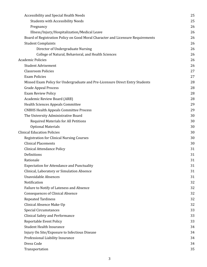| <b>Accessibility and Special Health Needs</b>                                   | 25 |
|---------------------------------------------------------------------------------|----|
| <b>Students with Accessibility Needs</b>                                        | 25 |
| Pregnancy                                                                       | 26 |
| Illness/Injury/Hospitalization/Medical Leave                                    | 26 |
| Board of Registration Policy on Good Moral Character and Licensure Requirements | 26 |
| <b>Student Complaints</b>                                                       | 26 |
| Director of Undergraduate Nursing                                               | 26 |
| College of Natural, Behavioral, and Health Sciences                             | 26 |
| <b>Academic Policies</b>                                                        | 26 |
| <b>Student Advisement</b>                                                       | 26 |
| <b>Classroom Policies</b>                                                       | 27 |
| <b>Exam Policies</b>                                                            | 27 |
| Missed Exam Policy for Undergraduate and Pre-Licensure Direct Entry Students    | 28 |
| <b>Grade Appeal Process</b>                                                     | 28 |
| <b>Exam Review Policy</b>                                                       | 28 |
| Academic Review Board (ARB)                                                     | 28 |
| <b>Health Sciences Appeals Committee</b>                                        | 29 |
| <b>CNBHS Health Appeals Committee Process</b>                                   | 29 |
| The University Administrative Board                                             | 30 |
| Required Materials for All Petitions                                            | 30 |
| <b>Optional Materials</b>                                                       | 30 |
| <b>Clinical Education Policies</b>                                              | 30 |
| <b>Registration for Clinical Nursing Courses</b>                                | 30 |
| <b>Clinical Placements</b>                                                      | 30 |
| Clinical Attendance Policy                                                      | 31 |
| Definitions                                                                     | 31 |
| Rationale                                                                       | 31 |
| <b>Expectation for Attendance and Punctuality</b>                               | 31 |
| Clinical, Laboratory or Simulation Absence                                      | 31 |
| <b>Unavoidable Absences</b>                                                     | 31 |
| Notification                                                                    | 32 |
| Failure to Notify of Lateness and Absence                                       | 32 |
| <b>Consequences of Clinical Absence</b>                                         | 32 |
| <b>Repeated Tardiness</b>                                                       | 32 |
| Clinical Absence Make-Up                                                        | 32 |
| <b>Special Circumstances</b>                                                    | 33 |
| Clinical Safety and Performance                                                 | 33 |
| <b>Reportable Event Policy</b>                                                  | 33 |
| <b>Student Health Insurance</b>                                                 | 34 |
| Injury On Site/Exposure to Infectious Disease                                   | 34 |
| Professional Liability Insurance                                                | 34 |
| Dress Code                                                                      | 34 |
| Transportation                                                                  | 35 |
|                                                                                 |    |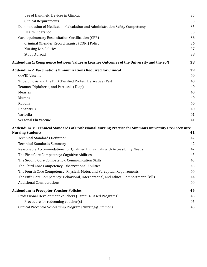| Use of Handheld Devices in Clinical                                                                   | 35 |
|-------------------------------------------------------------------------------------------------------|----|
| <b>Clinical Requirements</b>                                                                          | 35 |
| Demonstration of Medication Calculation and Administration Safety Competency                          | 35 |
| <b>Health Clearance</b>                                                                               | 35 |
| Cardiopulmonary Resuscitation Certification (CPR)                                                     | 36 |
| Criminal Offender Record Inquiry (CORI) Policy                                                        | 36 |
| <b>Nursing Lab Policies</b>                                                                           | 37 |
| <b>Study Abroad</b>                                                                                   | 38 |
| Addendum 1: Congruence between Values & Learner Outcomes of the University and the SoN                | 38 |
| <b>Addendum 2: Vaccinations/Immunizations Required for Clinical</b>                                   | 39 |
| <b>COVID Vaccine</b>                                                                                  | 40 |
| Tuberculosis and the PPD (Purified Protein Derivative) Test                                           | 40 |
| Tetanus, Diphtheria, and Pertussis (Tdap)                                                             | 40 |
| Measles                                                                                               | 40 |
| Mumps                                                                                                 | 40 |
| Rubella                                                                                               | 40 |
| Hepatitis B                                                                                           | 40 |
| Varicella                                                                                             | 41 |
| Seasonal Flu Vaccine                                                                                  | 41 |
| Addendum 3: Technical Standards of Professional Nursing Practice for Simmons University Pre-Licensure |    |
| <b>Nursing Students</b>                                                                               | 41 |
| <b>Technical Standards Definition</b>                                                                 | 42 |
| <b>Technical Standards Summary</b>                                                                    | 42 |
| Reasonable Accommodations for Qualified Individuals with Accessibility Needs                          | 42 |
| The First Core Competency: Cognitive Abilities                                                        | 43 |
| The Second Core Competency: Communication Skills                                                      | 43 |
| The Third Core Competency: Observational Abilities                                                    | 43 |
| The Fourth Core Competency: Physical, Motor, and Perceptual Requirements                              | 44 |
| The Fifth Core Competency: Behavioral, Interpersonal, and Ethical Comportment Skills                  | 44 |
| <b>Additional Considerations</b>                                                                      | 44 |
| <b>Addendum 4: Preceptor Voucher Policies</b>                                                         | 44 |
| Professional Development Vouchers (Campus-Based Programs)                                             | 45 |
| Procedure for redeeming voucher(s)                                                                    | 45 |
| Clinical Preceptor Scholarship Program (Nursing@Simmons)                                              | 45 |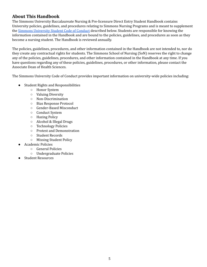# <span id="page-5-0"></span> **About This Handbook**

 The Simmons University Baccalaureate Nursing & Pre-licensure Direct Entry Student Handbook contains University policies, guidelines, and procedures relating to Simmons Nursing Programs and is meant to supplement the <u>Simmons [University](http://www2.simmons.edu/documents/students/Simmons-University-Code-of-Conduct.pdf) Student Code of Conduct</u> described below. Students are responsible for knowing the information contained in the Handbook and are bound to the policies, guidelines, and procedures as soon as they become a nursing student. The Handbook is reviewed annually.

 The policies, guidelines, procedures, and other information contained in the Handbook are not intended to, nor do they create any contractual rights for students. The Simmons School of Nursing (SoN) reserves the right to change any of the policies, guidelines, procedures, and other information contained in the Handbook at any time. If you have questions regarding any of these policies, guidelines, procedures, or other information, please contact the Associate Dean of Health Sciences.

The Simmons University Code of Conduct provides important information on university-wide policies including:

- ● Student Rights and Responsibilities
	- Honor System
	- Valuing Diversity
	- Non-Discrimination
	- Bias Response Protocol
	- Gender-Based Misconduct
	- Conduct System
	- Hazing Policy
	- Alcohol & Illegal Drugs
	- Technology Policies
	- Protest and Demonstration
	- Student Records
	- Missing Student Policy
- Academic Policies
	- General Policies
	- Undergraduate Policies
- **Student Resources**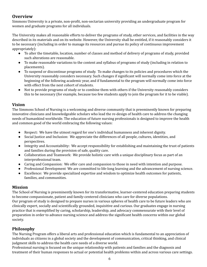# <span id="page-6-0"></span>**Overview**

 Simmons University is a private, non-profit, non-sectarian university providing an undergraduate program for women and graduate programs for all individuals.

 The University makes all reasonable efforts to deliver the programs of study, other services, and facilities in the way described in its materials and on its website. However, the University shall be entitled, if it reasonably considers it to be necessary (including in order to manage its resources and pursue its policy of continuous improvement appropriately):

- ● To alter the timetable, location, number of classes and method of delivery of programs of study, provided such alterations are reasonable.
- To make reasonable variations to the content and syllabus of programs of study (including in relation to placements).
- ● To suspend or discontinue programs of study. To make changes to its policies and procedures which the University reasonably considers necessary. Such changes if significant will normally come into force at the beginning of the following academic year, and if fundamental to the program will normally come into force with effect from the next cohort of students.
- ● Not to provide programs of study or to combine them with others if the University reasonably considers this to be necessary (for example, because too few students apply to join the program for it to be viable).

# <span id="page-6-1"></span>**Vision**

 The Simmons School of Nursing is a welcoming and diverse community that is preeminently known for preparing innovative clinicians and knowledgeable scholars who lead the re-design of health care to address the changing needs of humankind worldwide. The education of future nursing professionals is designed to improve the health and common good of the world embracing the following values:

- Respect: We have the utmost regard for one's individual humanness and inherent dignity.
- ● Social Justice and Inclusion: We appreciate the differences of all people, cultures, identities, and perspectives.
- ● Integrity and Accountability: We accept responsibility for establishing and maintaining the trust of patients and families during the provision of safe, quality care.
- ● Collaboration and Teamwork: We provide holistic care with a unique disciplinary focus as part of an interprofessional team.
- Caring and Compassion: We offer care and compassion to those in need with intention and purpose.
- Professional Development We are committed to life-long learning and the advancement of nursing science.
- ● Excellence: We provide specialized expertise and wisdom to optimize health outcomes for patients, families, and communities.

# <span id="page-6-2"></span>**Mission**

 The School of Nursing is preeminently known for its transformative, learner-centered education preparing students to become compassionate, patient and family-centered clinicians who care for diverse populations. Our program of study is designed to prepare nurses in various spheres of health care to be future leaders who are clinically expert, socially and scientifically grounded, inquisitive and curious. Our graduates engage in nursing practice that is exemplified by caring, scholarship, leadership, and advocacy commensurate with their level of preparation in order to advance nursing science and address the significant health concerns within our global society.

# <span id="page-6-3"></span>**Philosophy**

 The Nursing Program offers a liberal arts and professional education which is fundamental to an appreciation of individuals as citizens in a global society and the development of communication, critical thinking, and clinical judgment skills to address the health care needs of a diverse world.

 Professional nursing is focused on the unique relationship with patients and families and the diagnosis and treatment of their human responses to actual or potential health problems within and across various care settings.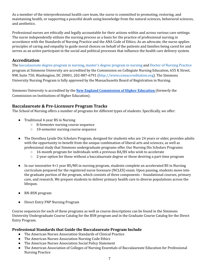As a member of the interprofessional health care team, the nurse is committed to promoting, restoring, and maintaining health, or supporting a peaceful death using knowledge from the natural sciences, behavioral sciences, and aesthetics.

 Professional nurses are ethically and legally accountable for their actions within and across various care settings. The nurse independently utilizes the nursing process as a basis for the practice of professional nursing in accordance with the Standards of Nursing Practice and the ANA Code of Ethics. As an advocate, the nurse applies principles of caring and empathy to guide moral choices on behalf of the patients and families being cared for and serves as an active participant in the social and political processes that influence the health care delivery system.

# <span id="page-7-0"></span>**Accreditation**

 The [baccalaureate](https://www.simmons.edu/academics/colleges-schools-departments/schools-departments/nursing-programs) degree program in nursing, master's degree [program](https://www.simmons.edu/academics/colleges-schools-departments/schools-departments/nursing-programs) in nursing and Doctor of Nursing [Practice](https://www.simmons.edu/academics/colleges-schools-departments/schools-departments/nursing-programs) program at Simmons University are accredited by the Commission on Collegiate Nursing Education, 655 K Street, NW, Suite 750, Washington, DC 20001, 202-887-6791 ([http://www.ccneaccreditation.org\)](http://www.ccneaccreditation.org/). The Simmons University Nursing Program is fully approved by the Massachusetts Board of Registration in Nursing.

 Simmons University is accredited by the **New England [Commission](https://www.neche.org/) of Higher Education** (formerly the Commission on Institutions of Higher Education).

# <span id="page-7-1"></span> **Baccalaureate & Pre-Licensure Program Tracks**

The School of Nursing offers a number of programs for different types of students. Specifically, we offer:

- ● Traditional 4-year BS in Nursing
	- 8-Semester nursing course sequence
	- 10-semester nursing course sequence
- ● The Dorothea Lynde Dix Scholars Program, designed for students who are 24 years or older, provides adults with the opportunity to benefit from the unique combination of liberal arts and sciences, as well as professional study that Simmons undergraduate programs offer. Our Nursing Dix Scholars Programs:
	- 16-month program for individuals with a previous BA/BS who wish to accelerate
	- 2-year option for those without a baccalaureate degree or those desiring a part-time program
- ● In our innovative 4+1 year BS/MS in nursing program, students complete an accelerated BS in Nursing curriculum prepared for the registered nurse licensure (NCLEX) exam. Upon passing, students move into the graduate portion of the program, which consists of three components – foundational courses, primary care, and research. We prepare students to deliver primary health care to diverse populations across the lifespan.
- RN-BSN program
- Direct Entry FNP Nursing Program

 Course sequences for each of these programs as well as course descriptions can be found in the Simmons University Undergraduate Course Catalog for the BSN program and in the Graduate Course Catalog for the Direct Entry Program.

#### <span id="page-7-2"></span>**Professional Standards that Guide the Baccalaureate Program Include**

- The American Nurses Association Standards of Clinical Practice
- The American Nurses Association Nursing Code Ethics
- The American Nurses Association Social Policy Statement
- ● The American Association of Colleges of Nursing Essentials of Baccalaureate Education for Professional Nursing Practice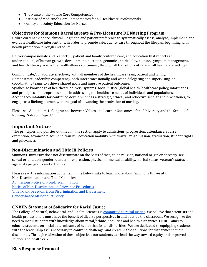- The Nurse of the Future Core Competencies
- Institute of Medicine's Core Competencies for all Healthcare Professionals
- Quality and Safety Education for Nurses

## <span id="page-8-0"></span> **Objectives for Simmons Baccalaureate & Pre-Licensure DE Nursing Program**

 Utilize current evidence, clinical judgment, and patient preference to systematically assess, analyze, implement, and evaluate healthcare interventions, in order to promote safe, quality care throughout the lifespan, beginning with health promotion, through end of life.

 Deliver compassionate and respectful, patient and family centered care, and education that reflects an understanding of human growth, development, nutrition, genomics, spirituality, culture, symptom management, and health literacy across the health illness continuum, through all transitions of care, in all healthcare settings.

 Communicate/collaborate effectively with all members of the healthcare team, patient and family. Demonstrate leadership competency, both interprofessionally, and when delegating and supervising, or coordinating teams to achieve shared goals and improve patient outcomes.

 Synthesize knowledge of healthcare delivery systems, social justice, global health, healthcare policy, informatics, and principles of entrepreneurship, in addressing the healthcare needs of individuals and populations. Accept accountability for continued development as a strategic, ethical, and reflective scholar and practitioner, to engage as a lifelong learner, with the goal of advancing the profession of nursing.

 Please see Addendum 1: Congruence between Values and Learner Outcomes of the University and the School of Nursing (SoN) on Page 37.

# <span id="page-8-1"></span>**Important Notices**

 The principles and policies outlined in this section apply to admissions, progression, attendance, course exemption, advanced placement, transfer, education mobility, withdrawal, re-admission, graduation, student rights and grievances.

## <span id="page-8-2"></span> **Non-Discrimination and Title IX Policies**

 Simmons University does not discriminate on the basis of race, color, religion, national origin or ancestry, sex, sexual orientation, gender identity or expression, physical or mental disability, marital status, veteran's status, or age, in its programs and activities.

 Please read the information contained in the below links to learn more about Simmons University Non-Discrimination and Title IX policies: Admissions Notice of [Non-Discrimination](https://www.simmons.edu/admission-financial-aid/notice-non-discrimination) Notice of [Non-Discrimination](https://internal.simmons.edu/faculty-staff/support/general-counsel/discrimination-and-harassment) Grievance Procedures Title IX and Freedom from [Discrimination](http://internal.simmons.edu/students/general-information/title-ix) and Harassment [Gender-based](https://www.simmons.edu/your-simmons/commitment-inclusivity/title-ix/gender-based-misconduct-policy) Misconduct Policy

## <span id="page-8-3"></span> **CNBHS Statement of Solidarity for Racial Justice**

The College of Natural, Behavioral, and Health Sciences is <u>[committed](https://www.simmons.edu/academics/colleges-schools-departments/cnbhs/statement-solidarity-racial-justice) to racial justice</u>. We believe that scientists and health professionals must have the benefit of diverse perspectives in and outside the classroom. We recognize the need to instill students with knowledge about racial/ethnic inequities and health disparities. CNBHS aims to educate students on social determinants of health that foster disparities. We are dedicated to equipping students with the leadership skills necessary to confront, challenge, and create viable solutions for disparities in their disciplines. Through realization of these objectives our students can lead the way toward equity and improved science and health care.

# <span id="page-8-4"></span> **Bias Response Protocol**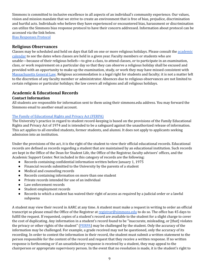Simmons is committed to inclusive excellence in all aspects of an individual's community experience. Our values, vision and mission mandate that we strive to create an environment that is free of bias, prejudice, discrimination and hurtful acts. Individuals who believe they have experienced or encountered bias, harassment or discrimination can utilize the Simmons bias response protocol to have their concern addressed. Information about protocol can be accessed via the link below.

Bias [Responses](http://www.simmons.edu/about-simmons/why-simmons/diversity-and-inclusion/bias-response-protocol/) Protocol

#### <span id="page-9-0"></span>**Religious Observances**

Classes may be scheduled and held on days that fall on one or more religious holidays. Please consult the <u>[academic](https://www.simmons.edu/academics/academic-calendar)</u> [calendar](https://www.simmons.edu/academics/academic-calendar) to see the dates when classes are held in a given year. Faculty members or students who are unable—because of their religious beliefs—to give a class, to attend classes, or to participate in an examination, class, or work requirement on a particular day so that they can observe a religious holiday shall be excused and provided with an opportunity to make up the examination, study, or work they may have missed consistent with [Massachusetts](https://malegislature.gov/Laws/GeneralLaws/PartI/TitleXXI/Chapter151C/Section2B) General Law. Religious accommodation is a legal right for students and faculty; it is not a matter left to the discretion of any faculty member or administrator. Absences due to religious observances are not limited to certain religions or particular holidays; the law covers all religions and all religious holidays.

# <span id="page-9-1"></span> **Academic & Educational Records**

#### <span id="page-9-2"></span>**Contact Information**

 All students are responsible for information sent to them using their [simmons.edu](https://simmons.edu) address. You may forward the Simmons email to another email account.

#### The Family of [Educational](http://www.simmons.edu/academics/registrar/resources/student-record-privacy) Rights and Privacy Act (FERPA)

 The University's practice in regard to student record-keeping is based on the provisions of the Family Educational Rights and Privacy Act of 1974 and is intended to be a safeguard against the unauthorized release of information. This act applies to all enrolled students, former students, and alumni. It does not apply to applicants seeking admission into an institution.

 Under the provisions of the act, it is the right of the student to view their official educational records. Educational records are defined as records regarding a student that are maintained by an educational institution. Such records are kept in the Office of the Dean for Student Life, the Office of the Registrar, faculty advisors' offices, and the Academic Support Center. Not included in this category of records are the following:

- Records containing confidential information written before January 1, 1975
- Financial records submitted to the University by the parents of a student
- Medical and counseling records
- Records containing information on more than one student
- Private records intended for use of an individual
- Law enforcement records
- Student employment records
- ● Records to which a student has waived their right of access as required by a judicial order or a lawful subpoena

 A student may view their record in AARC at any time. A student must make a request in writing to order an official transcript so please email the Office of the Registrar at <u>[registrar@simmons.edu](mailto:registrar@simmons.edu)</u> to do so. The office has 45 days to fulfill the request. If requested, copies of a student's record are available to the student for a slight charge to cover the cost of duplicating. Any information in a student's record found to be "inaccurate, misleading, or [that] violates the privacy or other rights of the student" [\(FERPA](http://www.law.cornell.edu/uscode/html/uscode20/usc_sec_20_00001232---g000-.html)) may be challenged by the student. Only the accuracy of the information may be challenged. For example, a grade received may not be questioned, only the accuracy of its recording. In order to contest the information in their record, the student must submit a written statement to the person responsible for the content of the record and request that they receive a written response. If no written response is forthcoming or if an unsatisfactory response is received by a student, they may appeal to the chairperson or appropriate supervisory person. In the event that no resolution is made, it is the student's right to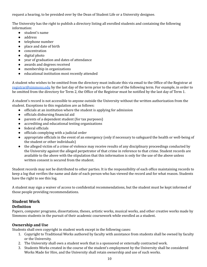request a hearing, to be presided over by the Dean of Student Life or a University designee.

 The University has the right to publish a directory listing all enrolled students and containing the following information:

- student's name
- address
- telephone number
- place and date of birth
- concentration
- digital photo
- year of graduation and dates of attendance
- awards and degrees received
- membership in organizations
- educational institution most recently attended

 A student who wishes to be omitted from the directory must indicate this via email to the Office of the Registrar at [registrar@simmons.edu](mailto:registrar@simmons.edu) by the last day of the term prior to the start of the following term. For example, in order to be omitted from the directory for Term 2, the Office of the Registrar must be notified by the last day of Term 1.

 A student's record is not accessible to anyone outside the University without the written authorization from the student. Exceptions to this regulation are as follows:

- officials at an institution where the student is applying for admission
- officials disbursing financial aid
- parents of a dependent student (for tax purposes)
- accrediting and educational testing organizations
- federal officials
- officials complying with a judicial order
- ● appropriate officials in the event of an emergency (only if necessary to safeguard the health or well-being of the student or other individuals)
- ● the alleged victim of a crime of violence may receive results of any disciplinary proceedings conducted by the University against the alleged perpetrator of that crime in reference to that crime. Student records are available to the above with the stipulation that this information is only for the use of the above unless written consent is secured from the student.

 Student records may not be distributed to other parties. It is the responsibility of each office maintaining records to keep a log that verifies the name and date of each person who has viewed the record and for what reason. Students have the right to see this log.

 A student may sign a waiver of access to confidential recommendations, but the student must be kept informed of those people providing recommendations.

# <span id="page-10-0"></span>**Student Work**

## <span id="page-10-1"></span>**Definition**

 Papers, computer programs, dissertations, theses, artistic works, musical works, and other creative works made by Simmons students in the pursuit of their academic coursework while enrolled as a student.

## <span id="page-10-2"></span>**Ownership and Use**

Students shall own copyright in student work except in the following cases:

- 1. Copyright to Traditional Works authored by faculty with assistance from students shall be owned by faculty or the University.
- 2. The University shall own a student work that is a sponsored or externally contracted work.
- 3. Students Works created in the course of the student's employment by the University shall be considered Works Made for Hire, and the University shall retain ownership and use of such works.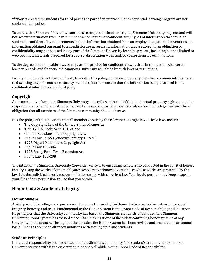\*\*\*Works created by students for third parties as part of an internship or experiential learning program are not subject to this policy.

 To ensure that Simmons University continues to respect the learner's rights, Simmons University may not and will not accept information from learners under an obligation of confidentiality. Types of information that could be subject to confidentiality requirements include information obtained from an employer, unpatented inventions and information obtained pursuant to a nondisclosure agreement. Information that is subject to an obligation of confidentiality may not be used in any part of the Simmons University learning process, including but not limited to web postings, materials prepared for a course, dissertation work and/or comprehensive examinations.

 To the degree that applicable laws or regulations provide for confidentiality, such as in connection with certain learner records and financial aid, Simmons University will abide by such laws or regulations.

 Faculty members do not have authority to modify this policy. Simmons University therefore recommends that prior to disclosing any information to faculty members, learners ensure that the information being disclosed is not confidential information of a third party.

# <span id="page-11-0"></span>**Copyright**

 As a community of scholars, Simmons University subscribes to the belief that intellectual property rights should be respected and honored and also that fair and appropriate use of published materials is both a legal and an ethical obligation that all members of the Simmons community should observe.

It is the policy of the University that all members abide by the relevant copyright laws. These laws include:

- The Copyright Law of the United States of America
- Title 17, U.S. Code, Sect. 101, et. seq.
- General Revisions of the Copyright Law
- Public Law 94-553 (effective January 1, 1978)
- 1998 Digital Millennium Copyright Act
- Public Law 105-304
- 1998 Sonny Bono Term Extension Act
- Public Law 105-298

 The intent of the Simmons University Copyright Policy is to encourage scholarship conducted in the spirit of honest inquiry. Using the works of others obligates scholars to acknowledge such use whose works are protected by the law. It is the individual user's responsibility to comply with copyright law. You should permanently keep a copy in your files of any permission-to-use that you obtain.

## <span id="page-11-1"></span> **Honor Code & Academic Integrity**

#### <span id="page-11-2"></span>**Honor System**

 A vital part of the collegiate experience at Simmons University, the Honor System, embodies values of personal integrity, honesty, and trust. Fundamental to the Honor System is the Honor Code of Responsibility, and it is upon its principles that the University community has based the Simmons Standards of Conduct. The Simmons University Honor System has existed since 1907, making it one of the oldest continuing honor systems at any University in the country. Throughout the decades, the Honor System has been revised and amended on an annual basis. Changes are made after consultations with faculty, staff, and students.

#### <span id="page-11-3"></span>**Student Principles**

 Individual responsibility is the foundation of the Simmons community. The student's enrollment at Simmons University carries with it the expectation that one will abide by the Honor Code of Responsibility.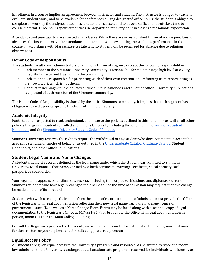Enrollment in a course implies an agreement between instructor and student. The instructor is obliged to teach, to evaluate student work, and to be available for conferences during designated office hours; the student is obliged to complete all work by the assigned deadlines, to attend all classes, and to devote sufficient out-of-class time to course material. Three hours spent out of class in preparation for every hour in class is a reasonable expectation.

 Attendance and punctuality are expected at all classes. While there are no established University-wide penalties for absences, the instructor may take attendance into account when evaluating the student's performance in the course. In accordance with Massachusetts state law, no student will be penalized for absence due to religious observances.

## <span id="page-12-0"></span>**Honor Code of Responsibility**

The students, faculty, and administrators of Simmons University agree to accept the following responsibilities:

- ▪ Each member of the Simmons University community is responsible for maintaining a high level of civility, integrity, honesty, and trust within the community.
- ▪ Each student is responsible for presenting work of their own creation, and refraining from representing as their own work which is not theirs.
- ▪ Conduct in keeping with the policies outlined in this handbook and all other official University publications is expected of each member of the Simmons community.

 The Honor Code of Responsibility is shared by the entire Simmons community. It implies that each segment has obligations based upon its specific function within the University.

## <span id="page-12-1"></span>**Academic Integrity**

 Each student is expected to read, understand, and observe the policies outlined in this handbook as well as all other policies that govern students enrolled at [Simmons](http://internal.simmons.edu/students/general/handbook) University including those found in the <u>Simmons Student</u> [Handbook,](http://internal.simmons.edu/students/general/handbook) and the Simmons [University](http://www2.simmons.edu/documents/students/Simmons-University-Code-of-Conduct.pdf) Student Code of Conduct.

 Simmons University reserves the right to require the withdrawal of any student who does not maintain acceptable academic standing or modes of behavior as outlined in the <u>[Undergraduate](http://simmons.smartcatalogiq.com/2020-2021/Undergraduate-Course-Catalog) Catalog</u>, <u>[Graduate](http://simmons.smartcatalogiq.com/2020-2021/Graduate-Course-Catalog) Catalog</u>, Student Handbooks, and other official publications.

# <span id="page-12-2"></span> **Student Legal Name and Name Changes**

 A student's name of record is defined as the legal name under which the student was admitted to Simmons University. Legal name is that name, verified by a birth certificate, marriage certificate, social security card, passport, or court order.

 Your legal name appears on all Simmons records, including transcripts, verifications, and diplomas. Current Simmons students who have legally changed their names since the time of admission may request that this change be made on their official records.

 Students who wish to change their name from the name of record at the time of admission must provide the Office of the Registrar with legal documentation reflecting their new legal name, such as a marriage license or government-issued ID, as well as a Name Change Form. Forms may be faxed along with a scanned copy of legal documentation to the Registrar's Office at 617-521-3144 or brought to the Office with legal documentation in person, Room C-115 in the Main College Building.

 Consult the Registrar's page on the University website for additional information about updating your first name for class rosters or your diploma and for indicating preferred pronouns.

# <span id="page-12-3"></span> **Equal Access Policy**

 All students are given equal access to the University's programs and resources. As permitted by state and federal law, admission to the University's undergraduate baccalaureate program is reserved for individuals who identify as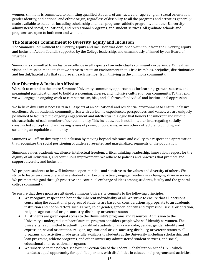women. Simmons is committed to admitting qualified students of any race, color, age, religion, sexual orientation, gender identity, and national and ethnic origin, regardless of disability, to all the programs and activities generally made available to students, including scholarship and loan programs, athletic programs, and other University- administered social, educational, and recreational programs, and student services. All graduate schools and programs are open to both men and women.

# <span id="page-13-0"></span> **The Simmons Commitment to Diversity, Equity and Inclusion**

 The Simmons Commitment to Diversity, Equity and Inclusion was developed with input from the Diversity, Equity and Inclusion Action Council, supported by the College leadership, and unanimously affirmed by our Board of Trustees.

 Simmons is committed to inclusive excellence in all aspects of an individual's community experience. Our values, vision and mission mandate that we strive to create an environment that is free from bias, prejudice, discrimination and hurtful/hateful acts that can prevent each member from thriving in the Simmons community.

## <span id="page-13-1"></span> **Our Diversity & Inclusion Mission**

 We seek to extend to the entire Simmons University community opportunities for learning, growth, success, and meaningful participation and to build a welcoming, diverse, and inclusive culture for our community. To that end, we will engage in ongoing work to combat racism, bias, and all forms of individual and institutional oppression.

 We believe diversity is necessary in all aspects of an educational and residential environment to ensure inclusive excellence. As an academic community, rich with varied life experiences, perspectives, and values, we are uniquely positioned to facilitate the ongoing engagement and intellectual dialogue that honors the inherent and unique characteristics of each member of our community. This includes, but is not limited to, interrogating socially constructed concepts and addressing issues of power, phobia, isms, or any other detractors to building and sustaining an equitable community.

 Simmons will affirm diversity and inclusion by moving beyond tolerance and civility to a respect and appreciation that recognizes the social positioning of underrepresented and marginalized segments of the population.

 Simmons values academic excellence, intellectual freedom, critical thinking, leadership, innovation, respect for the dignity of all individuals, and continuous improvement. We adhere to policies and practices that promote and support diversity and inclusion.

 We prepare students to be well informed, open-minded, and sensitive to the values and diversity of others. We strive to foster an atmosphere where students can become actively engaged leaders in a changing, diverse society. We promote this goal through proactive and continual exchange of ideas among students, faculty and the general college community.

To ensure that these goals are attained, Simmons University commits to the following principles.

- ● We recognize, respect and honor the inherent individuality of all. We strive to ensure that all decisions concerning the educational progress of students are based on considerations appropriate to an academic institution and not on factors such as race, color, gender, gender identity and expression, sexual orientation, religion, age, national origin, ancestry, disability, or veteran status.
- ● All students are given equal access to the University's programs and resources. Admission to the University's undergraduate baccalaureate program considers people who self-identify as women. The University is committed to admitting qualified students of any race, color, gender, gender identity and expression, sexual orientation, religion, age, national origin, ancestry, disability, or veteran status to all programs and activities made generally available to students at the University, including scholarship and loan programs, athletic programs, and other University-administered student services, and social, educational and recreational programs.
- ● We subscribe to the policies set forth in Section 504 of the Federal Rehabilitation Act of 1973, which mandates equal opportunity for qualified persons with disabilities in educational programs and activities.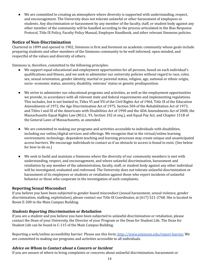● We are committed to creating an atmosphere where diversity is supported with understanding, respect, and encouragement. The University does not tolerate unlawful or other harassment of employees or students. Any discrimination or harassment by any member of the faculty, staff, or student body against any other member of the community will be handled according to the process articulated in the Bias Response Protocol, Title IX Policy, Faculty Policy Manual, Employee Handbook, and other relevant Simmons policies.

## <span id="page-14-0"></span> **Notice of Non-Discrimination**

 Chartered in 1899 and opened in 1902, Simmons is first and foremost an academic community whose goals include preparing students and other members of the Simmons community to be well informed, open-minded, and respectful of the values and diversity of others.

Simmons is, therefore, committed to the following principles:

- ● We support equal educational and employment opportunities for all persons, based on each individual's qualifications and fitness, and we seek to administer our university policies without regard to race, color, sex, sexual orientation, gender identity, marital or parental status, religion, age, national or ethnic origin, socio- economic status, ancestry, disability, veterans' status or genetic predisposition.
- ● We strive to administer our educational programs and activities, as well as the employment opportunities we provide, in accordance with all relevant state and federal requirements and implementing regulations. This includes, but is not limited to, Titles VI and VII of the Civil Rights Act of 1964, Title IX of the Education Amendments of 1972, the Age Discrimination Act of 1975, Section 504 of the Rehabilitation Act of 1973, and Titles I and III of the Americans with Disabilities Act of 1990 and the ADA Amendments Act of 2008, the Massachusetts Equal Rights Law (M.G.L. 93, Section 102 et seq.), and Equal Pay Act, and Chapter 151B of the General Laws of Massachusetts, as amended.
- ● We are committed to making our programs and activities accessible to individuals with disabilities, including our online/digital services and offerings. We recognize that in the virtual/online learning environment, technology- dependent teaching and learning processes may create unique and unanticipated access barriers. We encourage individuals to contact us if an obstacle to access is found to exist. (See below for how to do so.)
- ● We seek to build and maintain a Simmons where the diversity of our community members is met with understanding, respect, and encouragement, and where unlawful discrimination, harassment and retaliation by any member of the administration, faculty, staff, or student body against any other individual will be investigated, evaluated and redressed. The University does not tolerate unlawful discrimination or harassment of its employees or students or retaliation against those who report incidents of unlawful behavior or those who cooperate in the investigation of such complaints.

#### <span id="page-14-1"></span>**Reporting Sexual Misconduct**

 If you believe you have been subjected to gender-based misconduct (sexual harassment, sexual violence, gender discrimination, stalking, exploitation), please contact our Title IX Coordinator, at (617) 521-2768. She is located in Room E-200 in the Main Campus Building.

#### <span id="page-14-2"></span>*Students Reporting Discrimination or Retaliation*

 If you are a student and you believe you have been subjected to unlawful discrimination or retaliation, please contact the Dean of your University, the Director of your Program or the Dean for Student Life. The Dean for Student Life can be found in C-115 of the Main Campus Building.

Reporting a web/online accessibility barrier: Please use this form: <u>[http://www.simmons.edu/report-barrier.](http://www.simmons.edu/report-barrier)</u> We are committed to making our programs and activities accessible to all individuals.

#### <span id="page-14-3"></span>*Advice on Whom to Contact about a Concern or Incident*

If you are unsure of where to bring complaints or concerns about unlawful discrimination, harassment or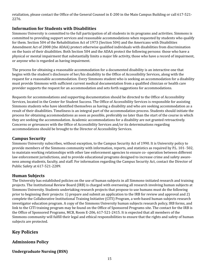retaliation, please contact the Office of the General Counsel in E-200 in the Main Campus Building or call 617-521- 2276.

# <span id="page-15-0"></span> **Information for Students with Disabilities**

 Simmons University is committed to the full participation of all students in its programs and activities. Simmons is committed to providing support services and reasonable accommodations when requested by students who qualify for them. Section 504 of the Rehabilitation Act of 1973 (Section 504) and the Americans with Disabilities Amendment Act of 2008 (the ADAA) protect otherwise qualified individuals with disabilities from discrimination on the basis of their disabilities. Both Section 504 and the ADAA protect the following persons: those who have a physical or mental impairment that substantially limits a major life activity, those who have a record of impairment, or anyone who is regarded as having impairment.

 The process for obtaining a reasonable accommodation for a documented disability is an interactive one that begins with the student's disclosure of her/his disability to the Office of Accessibility Services, along with the request for a reasonable accommodation. Every Simmons student who is seeking an accommodation for a disability must provide Simmons with sufficient current medical documentation from a qualified clinician or health care provider supports the request for an accommodation and sets forth suggestions for accommodations.

 Requests for accommodations and supporting documentation should be directed to the Office of Accessibility Services, located in the Center for Student Success. The Office of Accessibility Services is responsible for assisting Simmons students who have identified themselves as having a disability and who are seeking accommodation as a result of their disabilities. Timeliness is an integral part of the accommodation process. Students should initiate the process for obtaining accommodations as soon as possible, preferably no later than the start of the course in which they are seeking the accommodation. Academic accommodations for a disability are not granted retroactively. Concerns or grievances with the Office of Accessibility Services and/or its determinations regarding accommodations should be brought to the Director of Accessibility Services.

# <span id="page-15-1"></span>**Campus Security**

 Simmons University subscribes, without exception, to the Campus Security Act of 1990. It is University policy to provide members of the Simmons community with information, reports, and statistics as required by P.L. 101- 502, to maintain working relationships with other law enforcement agencies to ensure co- operation between different law enforcement jurisdictions, and to provide educational programs designed to increase crime and safety aware- ness among students, faculty, and staff. For information regarding the Campus Security Act, contact the Director of Public Safety at 617-521-2289.

# <span id="page-15-2"></span>**Human Subjects**

 The University has established policies on the use of human subjects in all Simmons-initiated research and training projects. The Institutional Review Board (IRB) is charged with overseeing all research involving human subjects at Simmons University. Students undertaking research projects that propose to use humans must do the following prior to beginning their projects: 1) prepare and submit an application to the IRB for review and approval and 2) complete the Collaborative Institutional Training Initiative (CITI) Program, a web-based human subjects research investigator education program. A copy of the Simmons University human subjects research policy, IRB forms, and link to the CITI training program may be found on the Office of Sponsored Programs site. The contact for the IRB is the Office of Sponsored Programs, MCB, Room E-206, 617-521-2415. It is expected that all members of the Simmons community will fulfill their legal and ethical responsibilities to ensure that the rights and safety of human subjects are protected.

# <span id="page-15-3"></span>**Key Policies**

# <span id="page-15-4"></span>**Admissions Policy**

# <span id="page-15-5"></span>**Undergraduate Nursing (BSN)**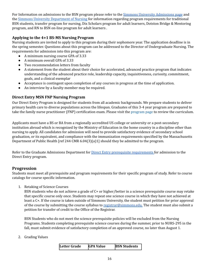For Information on admissions to the BSN program please refer to the <u>Simmons University [Admissions](https://www.simmons.edu/undergraduate/admission-and-financial-aid/how-apply/first-year-applicants) page</u> and the Simmons University [Department](https://www.simmons.edu/undergraduate/academics/majors-minors/bachelor-of-science-in-nursing-bsn) of Nursing for information regarding program requirements for traditional BSN students, transfer program for nursing, Dix Scholars program for adult learners, Dotston Bridge & Mentoring program, and RN to BSN on-line program for adult learners .

#### <span id="page-16-0"></span>**Applying to the 4+1 BS-MS Nursing Program**

 Nursing students are invited to apply to this program during their sophomore year. The application deadline is in the spring semester. Questions about this program can be addressed to the Director of Undergraduate Nursing. The requirements for admission into this program are:

- A minimum nursing course GPA of 3.33
- A minimum overall GPA of 3.33
- Two recommendation letters from faculty
- ● A statement from the student about their choice for accelerated, advanced practice program that indicates understanding of the advanced practice role, leadership capacity, inquisitiveness, curiosity, commitment, goals, and a clinical exemplar
- Acceptance is contingent upon completion of any courses in progress at the time of application.
- An interview by a faculty member may be required.

#### <span id="page-16-1"></span>**Direct Entry MSN FNP Nursing Program**

 Our Direct Entry Program is designed for students from all academic backgrounds. We prepare students to deliver primary health care to diverse populations across the lifespan. Graduates of this 3-4 year program are prepared to take the family nurse practitioner (FNP) certification exam. Please visit the [program](https://www.simmons.edu/graduate/academic-programs/graduate-and-certificate-programs/nursing-direct-entry) page to review the curriculum.

 Applicants must have a BS or BA from a regionally accredited US college or university or a post-secondary institution abroad which is recognized by the Ministry of Education in the home country in a discipline other than nursing to apply. All candidates for admission will need to provide satisfactory evidence of secondary school graduation, or its equivalent, and compliance with the immunization requirements specified by the Massachusetts Department of Public Health [ref 244 CMR 6.04(3)(a)1] should they be admitted to the program.

Refer to the Graduate Admissions Department for <u>Direct Entry prerequisite [requirements](https://www.simmons.edu/graduate/admission/how-apply/nursing-msn-direct-entry-program)</u> for admission to the Direct Entry program.

## <span id="page-16-2"></span>**Progression**

 Students must meet all prerequisite and program requirements for their specific program of study. Refer to course catalogs for course specific information.

<span id="page-16-3"></span>1. Retaking of Science Courses

 BSN students who do not achieve a grade of C+ or higher/better in a science prerequisite course may retake that specific course only once. Students may repeat one science course in which they have not achieved at least a C+. If the course is taken outside of Simmons University, the student must petition for prior approval of the course by submitting the course syllabus to **[registrar@simmons.edu.](mailto:registrar@simmons.edu)** The student must also submit a petition for transfer of credit to the Office of the Registrar.

 BSN Students who do not meet the science prerequisite policies will be excluded from the Nursing Programs. Students completing prerequisite science courses during the summer, prior to NURS-295 in the fall, must submit evidence of satisfactory completion of an approved course, no later than August 1.

<span id="page-16-4"></span>2. Grading Values

| Letter Grade | <b>GPA Value</b> | <b>BSN</b> Students |
|--------------|------------------|---------------------|
|--------------|------------------|---------------------|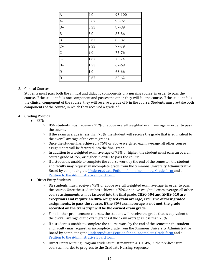| A                         | 4.0  | 93-100 |
|---------------------------|------|--------|
| A-                        | 3.67 | 90-92  |
| $B+$                      | 3.33 | 87-89  |
| B                         | 3.0  | 83-86  |
| B-                        | 2.67 | 80-82  |
| $\overline{C+}$           | 2.33 | 77-79  |
| C                         | 2.0  | 75-76  |
| $\overline{\mathsf{C}}$ - | 1.67 | 70-74  |
| $\overline{D+}$           | 1.33 | 67-69  |
| D                         | 1.0  | 63-66  |
| $\overline{D}$ -          | 0.67 | 60-62  |

#### <span id="page-17-0"></span>3. Clinical Courses

 Students must pass both the clinical and didactic components of a nursing course, in order to pass the course. If the student fails one component and passes the other, they will fail the course. If the student fails the clinical component of the course, they will receive a grade of F in the course. Students must re-take both components of the course, in which they received a grade of F.

#### <span id="page-17-1"></span>4. Grading Policies

- BSN:
	- ○ BSN students must receive a 75% or above overall weighted exam average, in order to pass the course.
	- ○ If the exam average is less than 75%, the student will receive the grade that is equivalent to the overall average of the exam grades.
	- Once the student has achieved a 75% or above weighted exam average, all other course assignments will be factored into the final grade.
	- ○ In addition to a weighted exam average of 75% or higher, the student must earn an overall course grade of 75% or higher in order to pass the course.
	- ○ If a student is unable to complete the course work by the end of the semester, the student and faculty may request an incomplete grade from the Simmons University Administrative Board by completing the [Undergraduate](https://www.simmons.edu/sites/default/files/2019-03/Registrar%20Incomplete%20Petition.pdf) Petition for an Incomplete Grade form and a Petition to the [Administrative](https://www.simmons.edu/sites/default/files/2019-10/Registrar%20Ad%20Board%20Petition.pdf) Board form.
- ● Direct Entry Students:
	- ○ DE students must receive a 75% or above overall weighted exam average, in order to pass the course. Once the student has achieved a 75% or above weighted exam average, all other course assignments will be factored into the final grade. **CHSC-404 and SNHS-410 are exceptions and require an 80% weighted exam average, exclusive of their graded assignments, to pass the course. If the 80%exam average is not met, the grade recorded on the transcript will be the earned exam grade.**
	- ○ For all other pre-licensure courses, the student will receive the grade that is equivalent to the overall average of the exam grades if the exam average is less than 75%.
	- ○ If a student is unable to complete the course work by the end of the semester, the student and faculty may request an incomplete grade from the Simmons University Administrative Board by completing the [Undergraduate](https://www.simmons.edu/sites/default/files/2019-03/Registrar%20Incomplete%20Petition.pdf) Petition for an Incomplete Grade form and a Petition to the [Administrative](https://www.simmons.edu/sites/default/files/2019-10/Registrar%20Ad%20Board%20Petition.pdf) Board form.
	- ○ Direct Entry Nursing Program students must maintain a 3.0 GPA, in the pre-licensure courses, in order to progress to the Graduate Nursing Sequence.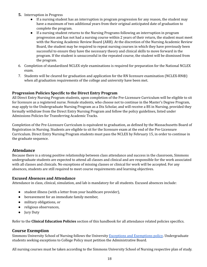- <span id="page-18-0"></span> **5.** Interruption in Progress
	- ● If a nursing student has an interruption in program progression for any reason, the student may have a maximum of two additional years from their original anticipated date of graduation to complete the program.
	- ● If a nursing student returns to the Nursing Programs following an interruption in program progression and has not had a nursing course within 2 years of their return, the student must meet with the Nursing Academic Review Board (ARB). At the discretion of the Nursing Academic Review Board, the student may be required to repeat nursing courses in which they have previously been successful to ensure they have the necessary theory and clinical skills to move forward in the program. If the student is unsuccessful in the repeated course, the student will be dismissed from the program.
- 6. Completion of standardized NCLEX style examinations is required for preparation for the National NCLEX exam.
- 7. Students will be cleared for graduation and application for the RN licensure examination (NCLEX-RN®) when all graduation requirements of the college and university have been met.

#### <span id="page-18-1"></span>**Progression Policies Specific to the Direct Entry Program**

 All Direct Entry Nursing Program students, upon completion of the Pre-Licensure Curriculum will be eligible to sit for licensure as a registered nurse. Female students, who choose not to continue in the Master's Degree Program, may apply to the Undergraduate Nursing Program as a Dix Scholar, and will receive a BS in Nursing, provided they formally withdraw from the Direct Entry Nursing Program and follow the policy guidelines, listed under Admissions Policies for Transferring Academic Tracks.

 Completion of the Pre-Licensure Curriculum is equivalent to graduation, as defined by the Massachusetts Board of Registration in Nursing. Students are eligible to sit for the licensure exam at the end of the Pre-Licensure Curriculum. Direct Entry Nursing Program students must pass the NCLEX by February 15, in order to continue in the graduate sequence.

## <span id="page-18-2"></span>**Attendance**

 Because there is a strong positive relationship between class attendance and success in the classroom, Simmons undergraduate students are expected to attend all classes and clinical and are responsible for the work associated with all classes and clinicals. No exceptions of missing classes or clinical for work will be accepted. For any absences, students are still required to meet course requirements and learning objectives.

#### <span id="page-18-3"></span>**Excused Absences and Attendance**

Attendance in class, clinical, simulation, and lab is mandatory for all students. Excused absences include:

- student illness (with a letter from your healthcare provider),
- bereavement for an immediate family member,
- military obligations, or
- religious observances,
- Jury Duty

Refer to the **Clinical Education Policies** section of this handbook for all attendance related policies specifics.

## <span id="page-18-4"></span>**Course Exemption**

Simmons University School of Nursing follows the University <u>Exceptions and [Exemptions](https://www.simmons.edu/academics/registrar/credits-requirements/exceptions-exemptions) policy</u>. Undergraduate students seeking exceptions to College Policy must petition the Administrative Board.

All nursing courses must be taken according to the Simmons University School of Nursing respective plan of study.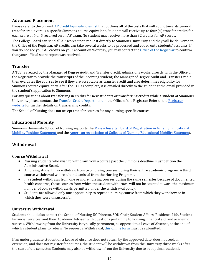# <span id="page-19-0"></span>**Advanced Placement**

 Please refer to the current AP Credit [Equivalencies](https://www.simmons.edu/sites/default/files/2021-09/AP-Credit-Equivalencies.pdf) list that outlines all of the tests that will count towards general transfer credit versus a specific Simmons course equivalent. Students will receive up to four (4) transfer credits for each score of 4 or 5 received on an AP exam. No student may receive more than 32 credits for AP scores.

 The College Board can send all AP scores upon request directly to Simmons University and they will be delivered to the Office of the Registrar. AP credits can take several weeks to be processed and coded onto students' accounts. If you do not see your AP credits on your account on Workday, you may contact the Office of the Registrar to confirm that your official score report was received.

# <span id="page-19-1"></span>**Transfer**

 A TCE is created by the Manager of Degree Audit and Transfer Credit. Admissions works directly with the Office of the Registrar to provide the transcripts of the incoming student; the Manager of Degree Audit and Transfer Credit then evaluates the courses to see if they are acceptable as transfer credit and also determines eligibility for Simmons course equivalency. After the TCE is complete, it is emailed directly to the student at the email provided in the student's application to Simmons.

 For any questions about transferring in credits for new students or transferring credits while a student at Simmons University please contact the Transfer Credit Department in the Office of the [Registrar](https://www.simmons.edu/academics/registrar/credits-requirements/transferring). Refer to the <u>Registrar</u> [website](https://www.simmons.edu/academics/registrar/credits-requirements/transferring) for further details on transferring credits.

The School of Nursing does not accept transfer courses for any nursing specific courses.

# <span id="page-19-2"></span>**Educational Mobility**

Simmons University School of Nursing supports the <u>[Massachusetts](https://www.mass.gov/service-details/nursing-faculty-and-program-administrator-information) Board of Registration in Nursing Educational</u> Mobility Position [Statement](https://www.mass.gov/service-details/nursing-faculty-and-program-administrator-information) and the American Association of Colleges of Nursing [Educational](https://www.aacnnursing.org/News-Information/Position-Statements-White-Papers/Educational-Mobility#:~:text=) Mobility Statement.

# <span id="page-19-3"></span>**Withdrawal**

## <span id="page-19-4"></span>**Course Withdrawal**

- ● Nursing students who wish to withdraw from a course past the Simmons deadline must petition the Administrative Board.
- ● A nursing student may withdraw from two nursing courses during their entire academic program. A third course withdrawal will result in dismissal from the Nursing Programs.
- ● If a student withdraws from one or more nursing courses during the same semester because of documented health concerns, those courses from which the student withdraws will not be counted toward the maximum number of course withdrawals permitted under the withdrawal policy.
- ● Students are allowed only one opportunity to repeat a nursing course from which they withdrew or in which they were unsuccessful.

## <span id="page-19-5"></span>**University Withdrawal**

 Students should also contact the School of Nursing UG Director, SON Chair, Student Affairs, Residence Life, Student Financial Services, and their Academic Adviser with questions pertaining to housing, financial aid, and academic success. Withdrawing from the University is typically permanent, as opposed to a Leave of Absence, at the end of which a student plans to return. To request a Withdrawal, this [online](https://simmons.co1.qualtrics.com/jfe/form/SV_6Av8ZZ4ZY4FANz7) form must be submitted.

 If an undergraduate student on a Leave of Absence does not return by the approved date, does not seek an extension, and does not register for courses, the student will be withdrawn from the University three weeks after the start of the semester. Students may also be withdrawn from the University due to suboptimal academic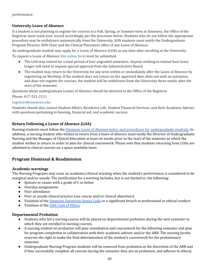performance.

#### <span id="page-20-0"></span>**University Leave of Absence**

 If a student is not planning to register for courses in a Fall, Spring, or Summer term at Simmons, the Office of the Registrar must mark your record accordingly, per the processes below. Students who do not follow the appropriate procedure may be withdrawn automatically from the University. SON students must notify the Undergraduate Program Director, SON Chair and the Clinical Placement office of any Leave of Absence.

 An undergraduate student may apply for a Leave of Absence (LOA) at any time after enrolling at the University. To request a Leave of Absence this [online](https://simmons.co1.qualtrics.com/jfe/form/SV_6Av8ZZ4ZY4FANz7) form must be submitted.

- ● The LOA may extend for a total period of four ungraded semesters. Anyone wishing to extend their leave longer will need to request special approval from the Administrative Board.
- ● The student may return to the University for any term within or immediately after the Leave of Absence by registering on Workday. If the student does not return on the approved date, does not seek an extension, and does not register for courses, the student will be withdrawn from the University three weeks after the start of the semester.

Questions about undergraduate Leaves of Absence should be directed to the Office of the Registrar

Phone: 617-521-2111

#### [registrar@simmons.edu](mailto:registrar@simmons.edu)

 Students should also contact Student Affairs, Residence Life, Student Financial Services, and their Academic Adviser with questions pertaining to housing, financial aid, and academic success.

## <span id="page-20-1"></span>**Return Following a Leave of Absence (LOA)**

Nursing students must follow the <u>Simmons Leave of Absence policy and [procedures](https://www.simmons.edu/academics/registrar/leaving-simmons) for [undergraduate](https://www.simmons.edu/academics/registrar/leaving-simmons) students</u>. In addition, a nursing student who wishes to return from a leave of absence must notify the Director of Undergraduate Nursing and the Manager of Clinical Education at least six weeks prior to the start of the semester to which the student wishes to return in order to plan for clinical coursework. Please note that students returning from LOAs are admitted to clinical courses on a space available basis.

## <span id="page-20-2"></span> **Program Dismissal & Readmission**

#### <span id="page-20-3"></span>**Academic warnings**

 The Nursing Programs may issue an academic/clinical warning when the student's performance is considered to be marginal and/or unsafe. The justification for a warning includes, but is not limited to, the following:

- Quizzes or exams with a grade of C or below
- Overdue assignments
- Poor attendance
- Poor or unsafe clinical practice (see course and/or clinical objectives)
- Violation of the **Simmons [University](https://internal.simmons.edu/students/academics/slis/current/honor-code) Honor Code** or a significant breach in professional or ethical conduct
- Violation of the **ANA Code of Ethics**.

#### <span id="page-20-4"></span>**Departmental Probation**

- ● Students who fail a nursing course will be placed on departmental probation during the next semester in which they are enrolled in nursing courses.
- ● A nursing student on probation will plan remediation and coursework for the following semester and plan for program completion in collaboration with their academic advisor and/or the ARB. The nursing faculty reserves the right to make the final determination of the student's coursework for the probationary semester.
- ● Undergraduate Nursing Program students will be removed from probation at the discretion of the ARB and if they successfully complete all courses during the semester they are on probation, and adheres to ethical,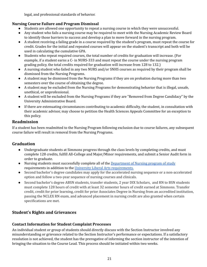legal, and professional standards of behavior.

# <span id="page-21-0"></span>**Nursing Course Failure and Program Dismissal**

- Students are allowed one opportunity to repeat a nursing course in which they were unsuccessful.
- ● Any student who fails a nursing course may be required to meet with the Nursing Academic Review Board to identify those barriers to success and develop a plan to move forward in the nursing program.
- ● A student receiving a failing grade in a course required by the student's program, must repeat the course for credit. Grades for the initial and repeated courses will appear on the student's transcript and both will be used in calculating the cumulative GPA.
- ● Students who repeat required courses, the total number of credits for graduation will increase. (For example, if a student earns a C- in NURS-333 and must repeat the course under the nursing program grading policy, the total credits required for graduation will increase from 128 to 132.)
- ● A nursing student who failed in any two NURS and/or SNHS courses as required by their program shall be dismissed from the Nursing Programs.
- ● A student may be dismissed from the Nursing Programs if they are on probation during more than two semesters over the course of obtaining the degree.
- ● A student may be excluded from the Nursing Programs for demonstrating behavior that is illegal, unsafe, unethical, or unprofessional.
- ● A student will be excluded from the Nursing Programs if they are "Removed from Degree Candidacy" by the University Administrative Board.
- ● If there are extenuating circumstances contributing to academic difficulty, the student, in consultation with their academic advisor, may choose to petition the Health Sciences Appeals Committee for an exception to this policy.

# <span id="page-21-1"></span>**Readmission**

 If a student has been readmitted to the Nursing Program following exclusion due to course failures, any subsequent course failure will result in removal from the Nursing Programs.

# <span id="page-21-2"></span>**Graduation**

- ● Undergraduate students at Simmons progress through the class levels by completing credits, and must complete 128 credits, fulfill All-College and Major/Minor requirements, and submit a Senior Audit form in order to graduate.
- Nursing students must successfully complete all of the **[Department](https://www.simmons.edu/undergraduate/academics/majors-minors/bachelor-of-science-in-nursing-bsn) of Nursing program of study** requirements in addition to the University Liberal Arts [requirements.](https://internal.simmons.edu/students/academics/plan)
- ● Second bachelor's degree candidates may apply for the accelerated nursing sequence or a non-accelerated option and follow a two-year sequence of nursing courses and clinicals.
- ● Second bachelor's degree ABSN students, transfer students, 2 year DIX Scholars, and RN to BSN students must complete 128 hours of credit with at least 32 semester hours of credit earned at Simmons. Transfer credit, credit for prior learning, credit for prior Associates Degree in Nursing from an accredited institution, passing the NCLEX RN exam, and advanced placement in nursing credit are also granted when certain specifications are met.

# <span id="page-21-3"></span> **Student's Rights and Grievances**

# <span id="page-21-4"></span>**Contact Information for Student Complaint Processes**

 An individual student or group of students should directly discuss with the Section Instructor involved any misunderstanding or grievance related to the Section Instructor's performance or expectations. If a satisfactory resolution is not achieved, the student has the prerogative of informing the section instructor of the intention of bringing the situation to the Course Lead. This process should be initiated within two weeks.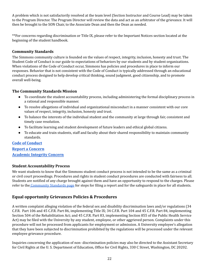A problem which is not satisfactorily resolved at the team level (Section Instructor and Course Lead) may be taken to the Program Director. The Program Director will review the data and act as an arbitrator of the grievance. It will then be brought to the SON Chair, to the Associate Dean and then the Dean as needed.

 \*\*For concerns regarding discrimination or Title IX, please refer to the Important Notices section located at the beginning of the student handbook.

#### <span id="page-22-0"></span>**Community Standards**

 The Simmons community culture is founded on the values of respect, integrity, inclusion, honesty and trust. The Student Code of Conduct is our guide to expectations of behaviors by our students and by student organizations. When violations of the Code of Conduct occur, Simmons has policies and procedures in place to inform our responses. Behavior that is not consistent with the Code of Conduct is typically addressed through an educational conduct process designed to help develop critical thinking, sound judgment, good citizenship, and to promote overall well-being.

#### <span id="page-22-1"></span>**The Community Standards Mission**

- ● To coordinate the student accountability process, including administering the formal disciplinary process in a rational and responsible manner.
- ● To resolve allegations of individual and organizational misconduct in a manner consistent with our core values of respect, integrity, inclusion, honesty and trust.
- ● To balance the interests of the individual student and the community at large through fair, consistent and timely case resolution.
- To facilitate learning and student development of future leaders and ethical global citizens.
- ● To educate and train students, staff and faculty about their shared responsibility to maintain community standards.

# <span id="page-22-4"></span><span id="page-22-3"></span><span id="page-22-2"></span>**[Code of Conduct](http://www2.simmons.edu/documents/students/Simmons-University-Code-of-Conduct.pdf) [Report a Concern](https://cm.maxient.com/reportingform.php?SimmonsUniv&layout_id=4) [Academic Integrity Concern](https://cm.maxient.com/reportingform.php?SimmonsUniv&layout_id=2)**

#### <span id="page-22-5"></span>**Student Accountability Process**

 We want students to know that the Simmons student conduct process is not intended to be the same as a criminal or civil court proceedings. Procedures and rights in student conduct procedures are conducted with fairness to all. Students are notified of any charge brought against them and have an opportunity to respond to the charges. Please refer to the [Community](https://internal.simmons.edu/students/student-affairs/health-wellness-safety/community-standards) Standards page for steps for filing a report and for the safeguards in place for all students.

# <span id="page-22-6"></span> **Equal opportunity Grievances Policies & Procedures**

 A written complaint alleging violation of the federal sex and disability discrimination laws and/or regulations (34 C.F.R. Part 106 and 45 C.F.R. Part 86, implementing Title IX; 34 C.F.R. Part 104 and 45 C.F.R. Part 84, implementing Section 504 of the Rehabilitation Act; and 45 C.F.R. Part 83, implementing Section 855 of the Public Health Service Act) may be filed with the University by any student, employee, or other aggrieved person. Complaints under this procedure will not be processed from applicants for employment or admission. A University employee's allegation that they have been subjected to discrimination prohibited by the regulations will be processed under the relevant employee grievance procedure.

 Inquiries concerning the application of non- discrimination policies may also be directed to the Assistant Secretary for Civil Rights at the U. S. Department of Education, Office for Civil Rights, 330 C Street, Washington, DC 20202.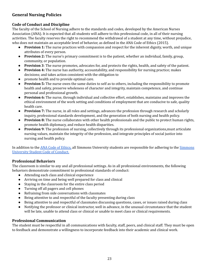# <span id="page-23-0"></span> **General Nursing Policies**

# <span id="page-23-1"></span>**Code of Conduct and Discipline**

 The faculty of the School of Nursing adhere to the standards and codes, developed by the American Nurses Association (ANA). It is expected that all students will adhere to this professional code, in all of their nursing activities. The faculty reserves the right to recommend the withdrawal of a student at any time, without prejudice, who does not maintain an acceptable level of behavior, as defined in the ANA Code of Ethics (2015).

- ● **Provision 1:** The nurse practices with compassion and respect for the inherent dignity, worth, and unique attributes of every person.
- ● **Provision 2:** The nurse's primary commitment is to the patient, whether an individual, family, group, community, or population.
- **Provision 3**: The nurse promotes, advocates for, and protects the rights, health, and safety of the patient.
- ● **Provision 4:** The nurse has authority, accountability, and responsibility for nursing practice; makes decisions; and takes action consistent with the obligation to
- promote health and to provide optimal care.
- ● **Provision 5:** The nurse owes the same duties to self as to others, including the responsibility to promote health and safety, preserve wholeness of character and integrity, maintain competence, and continue personal and professional growth.
- ● **Provision 6:** The nurse, through individual and collective effort, establishes, maintains and improves the ethical environment of the work setting and conditions of employment that are conducive to safe, quality health care.
- ● **Provision 7:** The nurse, in all roles and settings, advances the profession through research and scholarly inquiry, professional standards development, and the generation of both nursing and health policy.
- ● **Provision 8:** The nurse collaborates with other health professionals and the public to protect human rights, promote health diplomacy, and reduce health disparities.
- ● **Provision 9**: The profession of nursing, collectively through its professional organizations,must articulate nursing values, maintain the integrity of the profession, and integrate principles of social justice into nursing and health policy.

In addition to the <u>ANA Code of [Ethics,](https://www.nursingworld.org/coe-view-only)</u> all [Simmons](http://www2.simmons.edu/documents/students/Simmons-University-Code-of-Conduct.pdf) University students are responsible for adhering to the <u>Simmons</u> [University](http://www2.simmons.edu/documents/students/Simmons-University-Code-of-Conduct.pdf) Student Code of Conduct.

## <span id="page-23-2"></span>**Professional Behaviors**

 The classroom is similar to any and all professional settings. As in all professional environments, the following behaviors demonstrate commitment to professional standards of conduct:

- Attending each class and clinical experience
- Arriving on time and being well prepared for class and clinical
- Staying in the classroom for the entire class period
- Turning off all pagers and cell phones
- Refraining from side conversations with classmates
- Being attentive to and respectful of the faculty presenting during class
- Being attentive to and respectful of classmates discussing questions, cases, or issues raised during class
- ● Notifying the professor or clinical instructor, well in advance, in the unusual circumstance that the student will be late, unable to attend class or clinical or unable to meet class or clinical requirements.

## <span id="page-23-3"></span>**Professional Communication**

 The student must be respectful in all communications with faculty, staff, peers, and clinical staff. They must be open to feedback and demonstrate a willingness to incorporate feedback into their academic and clinical work.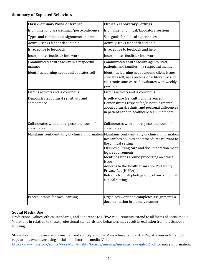#### <span id="page-24-0"></span>**Summary of Expected Behaviors**

| Class/Seminar/Post-Conference                            | Clinical/Laboratory Settings                                                                                                                                                                                                                                                                                                                                                                                                                                |
|----------------------------------------------------------|-------------------------------------------------------------------------------------------------------------------------------------------------------------------------------------------------------------------------------------------------------------------------------------------------------------------------------------------------------------------------------------------------------------------------------------------------------------|
| Is on time for class/seminar/post-conference             | Is on time for clinical/laboratory sessions                                                                                                                                                                                                                                                                                                                                                                                                                 |
| Types and completes assignments on time                  | Sets goals for clinical experiences                                                                                                                                                                                                                                                                                                                                                                                                                         |
| Actively seeks feedback and help                         | Actively seeks feedback and help                                                                                                                                                                                                                                                                                                                                                                                                                            |
| Is receptive to feedback                                 | Is receptive to feedback and help                                                                                                                                                                                                                                                                                                                                                                                                                           |
| Incorporates feedback into work                          | Incorporates feedback into work                                                                                                                                                                                                                                                                                                                                                                                                                             |
| Communicates with faculty in a respectful<br>manner      | Communicates with faculty, agency staff,<br>patients, and families in a respectful manner                                                                                                                                                                                                                                                                                                                                                                   |
| Identifies learning needs and educates self              | Identifies learning needs around client issues,<br>educates self, uses professional literature and<br>electronic sources, self- evaluates with weekly<br>journals                                                                                                                                                                                                                                                                                           |
| Listens actively and is courteous                        | Listens actively and is courteous                                                                                                                                                                                                                                                                                                                                                                                                                           |
| Demonstrates cultural sensitivity and<br>competence      | Is self-aware (re: cultural differences)<br>Demonstrates respect for/is nonjudgmental<br>about cultural, ethnic, and personal differences<br>in patients and in healthcare team members                                                                                                                                                                                                                                                                     |
| Collaborates with and respects the work of<br>classmates | Collaborates with and respects the work of<br>classmates                                                                                                                                                                                                                                                                                                                                                                                                    |
|                                                          | Maintains confidentiality of clinical information Maintains confidentiality of clinical information<br>Researches policies and procedures relevant to<br>the clinical setting<br>Ensures nursing care and documentation meet<br>legal requirements<br>Identifies steps around processing an ethical<br>issue<br>Adheres to the Health Insurance Portability<br>Privacy Act (HIPAA)<br>Refrains from all photography of any kind in all<br>clinical settings |
| Is accountable for own learning                          | Organizes work and completes assignments &<br>documentation in a timely manner                                                                                                                                                                                                                                                                                                                                                                              |

## <span id="page-24-1"></span>**Social Media Use**

 Professional values, ethical standards, and adherence to HIPAA requirements extend to all forms of social media. Violations in relation to these professional standards and behaviors may result in exclusion from the School of Nursing.

 Students should be aware of, consider, and comply with the Massachusetts Board of Registration in Nursing's regulations whenever using social and electronic media. Visit <http://www.mass.gov/eohhs/docs/dph/quality/boards/nursing/nursing-news-july12.pdf> for more information.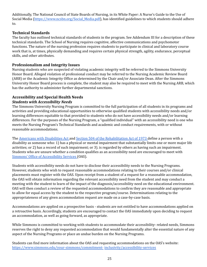Additionally, The National Council of State Boards of Nursing, in its White Paper: A Nurse's Guide to the Use of Social Media (<u>https://www.ncsbn.org/Social\_Media.pdf</u>), has identified guidelines to which students should adhere to.

#### <span id="page-25-0"></span>**Technical Standards**

 The faculty has outlined technical standards of students in the program. See Addendum III for a description of these technical standards. The School of Nursing requires cognitive, affective communications and psychomotor functions. The nature of the nursing profession requires students to participate in clinical and laboratory course work that is, at times, physically demanding and requires certain physical strength, agility, endurance, perceptual skills, and other attributes.

#### <span id="page-25-1"></span>**Professionalism and Integrity Issues**

 Nursing students who are suspected of violating academic integrity will be referred to the Simmons University Honor Board. Alleged violation of professional conduct may be referred to the Nursing Academic Review Board (ARB) or the Academic Integrity Office as determined by the Chair and/or Associate Dean. After the Simmons University Honor Board process is complete, the student may also be required to meet with the Nursing ARB, which has the authority to administer further departmental sanctions.

## <span id="page-25-2"></span>**Accessibility and Special Health Needs**

#### <span id="page-25-3"></span>*Students with Accessibility Needs*

 The Simmons University Nursing Program is committed to the full participation of all students in its programs and activities and providing educational opportunities to otherwise qualified students with accessibility needs and/or learning differences equitable to that provided to students who do not have accessibility needs and/or learning differences. For the purposes of the Nursing Program, a "qualified individual" with an accessibility need is one who meets the Nursing Program's Technical Standards and academic and conduct requirements, with or without reasonable accommodations.

The <u>Americans with [Disabilities](https://www.ada.gov/pubs/adastatute08.htm) Act a</u>nd <u>Section 504 of the [Rehabilitation](https://www.dol.gov/agencies/oasam/civil-rights-center/statutes/section-504-rehabilitation-act-of-1973) Act of 1973 d</u>efine a person with a disability as someone who: 1) has a physical or mental impairment that substantially limits one or more major life activities; or 2) has a record of such impairment; or 3). is regarded by others as having such an impairment. Students who are unsure whether a condition qualifies as an accessibility need are encouraged to meet with Simmons' Office of [Accessibility](https://www.simmons.edu/your-simmons/commitment-inclusivity/accessibility-services) Services (OAS).

 Students with accessibility needs do not have to disclose their accessibility needs to the Nursing Programs. However, students who wish to request reasonable accommodations relating to their courses and/or clinical placements must register with the OAS. Upon receipt from a student of a request for a reasonable accommodation, the OAS will obtain information regarding the relevant accessibility need from the student and may conduct a meeting with the student to learn of the impact of the diagnosis/accessibility need on the educational environment. OAS will then conduct a review of the requested accommodations to confirm they are reasonable and appropriate to allow for equal access by the student to the respective program/course. Determinations relating to the appropriateness of any given accommodation request are made on a case-by-case basis.

 Accommodations are applied on a prospective basis - students are not entitled to have accommodations applied on a retroactive basis. Accordingly, students are encouraged to contact the OAS immediately upon deciding to request an accommodation, as well as going forward, as appropriate.

 While Simmons is committed to working with students to accommodate their accessibility- related needs, Simmons reserves the right to deny any requested accommodation that would fundamentally alter the essential nature of any aspect of the Nursing Programs or place an undue burden on the Nursing Programs.

 Students can find more information about the OAS and requesting accommodations on the OAS's website: [https://www.simmons.edu/your-simmons/commitment-](https://www.simmons.edu/your-simmons/commitment-inclusivity/accessibility-services) [inclusivity/accessibility-services](https://www.simmons.edu/your-simmons/commitment-inclusivity/accessibility-services)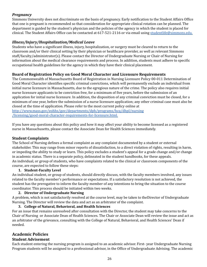## <span id="page-26-0"></span>*Pregnancy*

 Simmons University does not discriminate on the basis of pregnancy. Early notification to the Student Affairs Office that one is pregnant is recommended so that consideration for appropriate clinical rotation can be planned. The department is guided by the student's physician and the policies of the agency in which the student is placed for clinical. The Student Affairs Office can be contacted at 617-521-2116 or via email using [studentlife@simmons.edu.](mailto:studentlife@simmons.edu)

# <span id="page-26-1"></span>*Illness/Injury/Hospitalization/Medical Leave*

 Students who have a significant illness, injury, hospitalization, or surgery must be cleared to return to the classroom and/or their clinical setting by their physician or healthcare provider, as well as relevant Simmons staff/faculty/administrator(s). Please contact the Director of Undergraduate Nursing or Chair of Nursing for information about the medical clearance requirements and process. In addition, students must adhere to specific occupational health guidelines for the agency in which they have their clinical placement.

# <span id="page-26-2"></span>**Board of Registration Policy on Good Moral Character and Licensure Requirements**

 The Commonwealth of Massachusetts Board of Registration in Nursing Licensure Policy 00-011 Determination of Good Moral Character identifies specific criminal convictions, which will permanently exclude an individual from initial nurse licensure in Massachusetts, due to the egregious nature of the crime. The policy also requires initial nurse licensure applicants to be conviction free, for a minimum of five years, before the submission of an application for initial nurse licensure. In addition, the disposition of any criminal conviction must be closed, for a minimum of one year, before the submission of a nurse licensure application; any other criminal case must also be closed at the time of application. Please refer to the most current policy online at [http://www.mass.gov/eohhs/gov/departments/dph/programs/hcq/dhpl/nursing](http://www.mass.gov/eohhs/gov/departments/dph/programs/hcq/dhpl/nursing/licensing/good-moral-character-requirements-for-licensure.html) [/licensing/good-moral-character-requirements-for-licensure.html.](http://www.mass.gov/eohhs/gov/departments/dph/programs/hcq/dhpl/nursing/licensing/good-moral-character-requirements-for-licensure.html)

 If you have any questions about this policy and how it may affect your ability to become licensed as a registered nurse in Massachusetts, please contact the Associate Dean for Health Sciences immediately.

## <span id="page-26-3"></span>**Student Complaints**

 The School of Nursing defines a formal complaint as any complaint documented by a student or external stakeholder. This may range from minor reports of dissatisfaction, to a direct violation of rights, resulting in harm, or impeding the ability to study or learn. This policy excludes a student's appeal for a grade change and/or change in academic status. There is a separate policy, delineated in the student handbooks, for these appeals. An individual, or group of students, who have complaints related to the clinical or classroom components of the course, are expected to follow these steps:

#### **1. Student-Faculty Level**

 An individual student, or group of students, should directly discuss, with the faculty members involved, any issues related to the faculty member's performance or expectations. If a satisfactory resolution is not achieved, the student has the prerogative to inform the faculty member of any intentions to bring the situation to the course coordinator. This process should be initiated within two weeks.

## **2. Director of Undergraduate Nursing**

<span id="page-26-4"></span> A problem, which is not satisfactorily resolved at the course level, may be taken to theDirector of Undergraduate Nursing. The Director will review the data and act as an arbitrator of the complaint.

#### **3. College of Natural, Behavioral, and Health Sciences**

<span id="page-26-5"></span> For an issue that remains unresolved after consultation with the Director, the student may take concerns to the Chair of Nursing or Associate Dean of Health Sciences. The Chair or Associate Dean will review the issue and act as an arbitrator of the grievance, consulting with the College of Natural, Behavioral, and Health Sciences' Dean if needed.

# <span id="page-26-6"></span>**Academic Policies**

# <span id="page-26-7"></span>**Student Advisement**

 Each student entering the nursing program is assigned to an academic advisor. First- year Undergraduate Nursing Program students will be assigned to a professional advisor, in the Office of Undergraduate Advising. The academic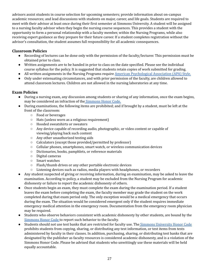advisors assist students in course selection for upcoming semesters; provide information about on-campus academic resources; and lead discussions with students on major, career, and life goals. Students are required to meet with their advisor at least once during their first semester at Simmons University. A student will be assigned to a nursing faculty advisor when they begin the nursing course sequences. This provides a student with the opportunity to form a personal relationship with a faculty member, within the Nursing Programs, while also receiving expert guidance as they prepare for their future career. If a student completes registration without the advisor's consultation, the student assumes full responsibility for all academic consequences.

#### <span id="page-27-0"></span>**Classroom Policies**

- ● Recording of lectures can be done only with the permission of the faculty/lecturer. This permission must be obtained prior to class.
- ● Written assignments are to be handed in prior to class on the date specified. Please see the individual course syllabus for the policy. It is suggested that students retain copies of work submitted for grading.
- All written assignments in the Nursing Programs require American [Psychological](https://apastyle.apa.org/6th-edition-resources/basics-tutorial) Association (APA) Style.
- ● Only under extenuating circumstances, and with prior permission of the faculty, are children allowed to attend classroom lectures. Children are not allowed in the nursing laboratories at any time.

#### <span id="page-27-1"></span>**Exam Policies**

- ● During a nursing exam, any discussion among students or sharing of any information, once the exam begins, may be considered an infraction of the **[Simmons](https://internal.simmons.edu/students/academics/slis/current/honor-code) Honor Code.**
- ● During examinations, the following items are prohibited; and if brought by a student, must be left at the front of the classroom:
	- Food or beverages
	- Hats (unless worn as a religious requirement)
	- Hooded sweatshirts or sweaters
	- ○ Any device capable of recording audio, photographic, or video content or capable of viewing/playing back such content
	- Any other unauthorized testing aids
	- Calculators (except those provided/permitted by professor)
	- Cellular phones, smartphones, smart watch, or wireless communication devices
	- Dictionaries, books, pamphlets, or reference materials
	- Digital cameras
	- Smart watches
	- Flash/thumb drives or any other portable electronic devices
	- Listening devices such as radios, media players with headphones, or recorders
- ● Any student suspected of giving or receiving information, during an examination, may be asked to leave the examination. According to policy, a student may be excluded from the Nursing Program for academic dishonesty or failure to report the academic dishonesty of others.
- ● Once students begin an exam, they must complete the exam during the examination period. If a student leaves the exam before completing the exam, the faculty member may grade the student on the work completed during that exam period only. The only exception would be a medical emergency that occurs during the exam. The situation would be considered emergent only if the student requires immediate emergency medical attention in the emergency room. Documentation from the emergency room physician may be required.
- ● Students who observe behaviors consistent with academic dishonesty by other students, are bound by the [Simmons](https://internal.simmons.edu/students/academics/slis/current/honor-code) Honor Code to report such behavior to the faculty.
- Students should not use test banks that are restricted for faculty use. The **Simmons [University](https://internal.simmons.edu/students/academics/slis/current/honor-code) Honor Code**  prohibits students from copying, sharing, or distributing any test information, or test items from tests administered by faculty in their classes. In addition, purchasing, sharing, or distributing test banks that are designated by the publisher as faculty resources is considered academic dishonesty, and is a violation of the Simmons Honor Code. Please be advised that students who unwittingly use these materials will be held equally accountable.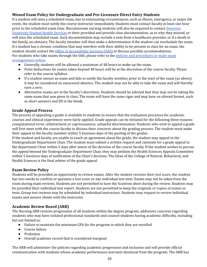# <span id="page-28-0"></span>**Missed Exam Policy for Undergraduate and Pre-Licensure Direct Entry Students**

 If a student will miss a scheduled exam, due to extenuating circumstances, such as illness, emergency, or major life event, the student must notify the course instructor immediately. Students must contact faculty at least one hour prior to the scheduled exam time. Baccalaureate nursing students will also be required to contact <u>[Simmons](https://www.simmons.edu/your-simmons/student-support-resources/health-center/hours)</u> [University](https://www.simmons.edu/your-simmons/student-support-resources/health-center/hours) Student Health Services or their provided and provide clear documentation, as to why they missed, or will miss the scheduled exam. Such documentation may include a note from a healthcare provider, or if a death in the family, an obituary. The faculty member will then make a determination if the student can reschedule the exam. If a student has a chronic condition that may interfere with their ability to be present in class for an exam, the student should contact the *Office of [Accessibility](https://www.simmons.edu/your-simmons/commitment-inclusivity/accessibility-services) Services (OAS)* to discuss possible accommodations. For students who take exams through the OAS, please refer to the <u>policies and [procedures](https://www.simmons.edu/your-simmons/commitment-inclusivity/accessibility-services) to [make](https://www.simmons.edu/your-simmons/commitment-inclusivity/accessibility-services) exam</u> [arrangements](https://www.simmons.edu/your-simmons/commitment-inclusivity/accessibility-services) online.

- Generally, students will be allowed a maximum of 48 hours to make up the exam.
- ● Point deductions for exams taken beyond 48 hours will be at the discretion of the course faculty. Please refer to the course syllabus.
- ● If a student misses an exam and fails to notify the faculty member, prior to the start of the exam (as above), it may be considered an unexcused absence. The student may not be able to take the exam and will thereby earn a zero.
- ● Alternative exams are at the faculty's discretion. Students should be advised that they may not be taking the same exam that was given in class. The exam will have the same rigor and may have an altered format, such as short answers and fill in the blank.

#### <span id="page-28-1"></span>**Grade Appeal Process**

 The process of appealing a grade is available to students to ensure that the evaluation processes for academic courses and clinical experiences were fairly applied. Grade appeals can be initiated for the following three reasons: computational error; arbitrariness or capriciousness; unlawful discrimination. Students who wish to appeal a grade will first meet with the course faculty to discuss their concerns about the grading process. The student must make their appeal to the faculty member within 5 business days of the posting of the grades.

 If the student and faculty are unable to reach an agreement about the grade, the student may appeal to the Undergraduate Department Chair. The student must submit a written request and rationale for a grade appeal to the department Chair within 5 days after notice of the decision of the course faculty. If the student wishes to pursue the appeal beyond the Undergraduate Department Chair, they may petition the Health Sciences Appeals Committee within 5 business days of notification of the Chair's decision. The Dean of the College of Natural, Behavioral, and Health Sciences is the final arbiter of the grade appeal.

#### <span id="page-28-2"></span>**Exam Review Policy**

 Students will be provided an opportunity to review exams. After the student receives their test score, the student has two weeks to confirm or question a test score or any individual test item. Exams may not be taken from the room during exam reviews. Students are not permitted to have the Scantron sheet during the review. Students may be provided their individual test report. Students are not permitted to keep the originals or copies of exams or tests. Group test reviews may be scheduled by individual instructors. Students may request to review individual exams and answer sheets with the instructor.

## <span id="page-28-3"></span>**Academic Review Board (ARB)**

 The Nursing ARB reviews progression of all students within the degree program, addresses concerns regarding students who may have violated professional standards and counsel students having academic difficulty, including but not limited to:

- Failure to maintain the minimum GPA for the program in which they are enrolled
- Course failure
- Probation
- Overall academic record that is considered marginal

 The ARB will administer the policies regarding academic progression and exclusion and will provide official communication with students whose academic performance warrants dismissal from the program. The ARB has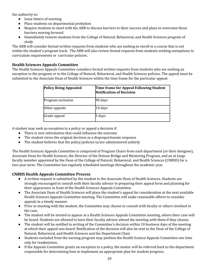the authority to:

- Issue letters of warning
- Place students on departmental probation
- ● Require students to meet with the ARB to discuss barriers to their success and plans to overcome those barriers moving forward
- ● Immediately remove students from the College of Natural, Behavioral, and Health Sciences program of study

 The ARB will consider formal written requests from students who are seeking to enroll in a course that is not within the student's program track. The ARB will also review formal requests from students seeking exemptions to curriculum requirements or curricular policies.

## <span id="page-29-0"></span>**Health Sciences Appeals Committee**

 The Health Sciences Appeals Committee considers formal written requests from students who are seeking an exception to the program or to the College of Natural, Behavioral, and Health Sciences policies. The appeal must be submitted to the Associate Dean of Health Sciences within the time frame for the particular appeal:

| <b>Policy Being Appealed</b> | Time frame for Appeal Following Student<br><b>Notification of Decision</b> |
|------------------------------|----------------------------------------------------------------------------|
| Program exclusion            | 90 days                                                                    |
| Other appeals                | 14 days                                                                    |
| Grade appeal                 | 5 days                                                                     |

A student may seek an exception to a policy or appeal a decision if:

- There is new information that could influence the outcome
- The student views the original decision as a disproportionate response
- The student believes that the policy/policies is/are administered unfairly

 The Health Sciences Appeals Committee is comprised of Program Chairs from each department (or their designee), Associate Dean for Health Sciences, the Director of the Dotson Bridge and Mentoring Program, and an at-large faculty member appointed by the Dean of the College of Natural, Behavioral, and Health Sciences (CNBHS) for a two-year term. The Committee has regularly scheduled meetings throughout the academic year.

#### <span id="page-29-1"></span>**CNBHS Health Appeals Committee Process**

- ● A written request is submitted by the student to the Associate Dean of Health Sciences. Students are strongly encouraged to consult with their faculty advisor in preparing their appeal form and planning for their appearance in front of the Health Sciences Appeals Committee.
- ● The Associate Dean of Health Sciences will place the student's appeal for consideration at the next available Health Sciences Appeals Committee meeting. The Committee will make reasonable efforts to consider appeals in a timely manner.
- ● Prior to meeting with the student, the Committee may choose to consult with faculty or others involved in the case.
- ● The student will be invited to appear at a Health Sciences Appeals Committee meeting, where their case will be heard. Students are allowed to have their faculty advisor attend the meeting with them if they choose.
- ● The student will be notified in writing of the Committee's decision within 10 business days of the meeting at which their appeal was heard. Notification of the decision will also be sent to the Dean of the College of Natural, Behavioral, and Health Sciences and the Department Chair.
- ● Students excluded from the nursing program may petition the Health Science Appeals Committee one time only for readmission.
- ● If the Appeals Committee grants an exception to a policy, the matter will be referred back to the department responsible for determining how to implement an appropriate plan for student progress.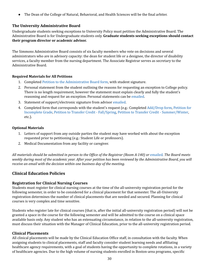● The Dean of the College of Natural, Behavioral, and Health Sciences will be the final arbiter.

#### <span id="page-30-0"></span>**The University Administrative Board**

 Undergraduate students seeking exceptions to University Policy must petition the Administrative Board. The Administrative Board is for Undergraduate students only. **Graduate students seeking exceptions should contact their program director or academic advisor.**

 The Simmons Administrative Board consists of six faculty members who vote on decisions and several administrators who are in advisory capacity: the dean for student life or a designee, the director of disability services, a faculty member from the nursing department. The Associate Registrar serves as secretary to the Administrative Board.

#### <span id="page-30-1"></span> **Required Materials for All Petitions**

- 1. Completed Petition to the [Administrative](https://www.simmons.edu/sites/default/files/2019-10/Registrar%20Ad%20Board%20Petition.pdf) Board form, with student signature.
- 2. Personal statement from the student outlining the reasons for requesting an exception to College policy. There is no length requirement, however the statement must explain clearly and fully the student's reasoning and request for an exception. Personal statements can be emailed.
- 3. Statement of support/electronic signature from advisor emailed.
- 4. Completed form that corresponds with the student's request (e.g.: Completed [Add/Drop](https://www.simmons.edu/sites/default/files/2021-11/Registrar_Add-Drop-Form.pdf) form, [Petition](https://www.simmons.edu/sites/default/files/2021-05/Registrar-Incomplete-Petition.pdf) for [Incomplete](https://www.simmons.edu/sites/default/files/2021-05/Registrar-Incomplete-Petition.pdf) Grade, Petition to Transfer Credit [- Fall/Spring,](https://simmonscollege.wufoo.com/forms/w7hbpuv1c528vm/) Petition to Transfer Credit [- Summer/Winter,](https://simmonscollege.wufoo.com/forms/q1d9urmy0k6gh5l/) etc.).

#### <span id="page-30-2"></span>**Optional Materials**

- 1. Letters of support from any outside parties the student may have worked with about the exception requested prior to petitioning (e.g.: Student Life or professors).
- 2. Medical Documentation from any facility or caregiver.

All materials should be submitted in person to the Office of the Registrar (Room A-140) or <del>emailed</del>. The Board meets weekly during most of the academic year. After your petition has been reviewed by the Administrative Board, you will  *receive an email with the decision within one business day of the meeting.*

## <span id="page-30-3"></span> **Clinical Education Policies**

#### <span id="page-30-4"></span>**Registration for Clinical Nursing Courses**

 Students must register for clinical nursing courses at the time of the all-university registration period for the following semester, in order to be considered for a clinical placement for that semester. The all-University registration determines the number of clinical placements that are needed and secured. Planning for clinical courses is very complex and time sensitive.

 Students who register late for clinical courses (that is, after the initial all-university registration period) will not be granted a space in the course for the following semester and will be admitted to the course on a clinical space available basis only. Any student who has an extenuating circumstance, in relation to the all-university registration, must discuss their situation with the Manager of Clinical Education, prior to the all-university registration period.

#### <span id="page-30-5"></span>**Clinical Placements**

 All clinical placements will be made by the Clinical Education Office staff, in consultation with the faculty. When assigning students to clinical placements, staff and faculty consider student learning needs and affiliating healthcare agency requirements, with a goal of students having the opportunity to complete rotations, in a variety of healthcare agencies. Due to the high volume of nursing students enrolled in Boston-area programs, specific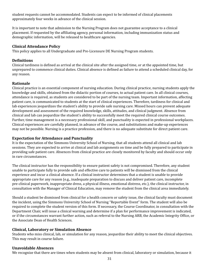student requests cannot be accommodated. Students can expect to be informed of clinical placements approximately four weeks in advance of the clinical session.

 It is important to note that admission to the Nursing Program does not guarantee acceptance to a clinical placement. If requested by the affiliating agency, personal information, including immunization status and demographic information, will be released to healthcare agencies.

#### <span id="page-31-0"></span>**Clinical Attendance Policy**

This policy applies to all Undergraduate and Pre-Licensure DE Nursing Program students.

#### <span id="page-31-1"></span>**Definitions**

 Clinical tardiness is defined as arrival at the clinical site after the assigned time, or at the appointed time, but unprepared to commence clinical duties. Clinical absence is defined as failure to attend a scheduled clinical day, for any reason.

#### <span id="page-31-2"></span>**Rationale**

 Clinical practice is an essential component of nursing education. During clinical practice, nursing students apply the knowledge and skills, obtained from the didactic portion of courses, to actual patient care. In all clinical courses, attendance is required, as students are considered to be part of the nursing team. Important information, affecting patient care, is communicated to students at the start of clinical experiences. Therefore, tardiness for clinical and lab experiences jeopardizes the student's ability to provide safe nursing care. Missed hours can prevent adequate development and assessment of the required knowledge, skills, attitudes, and clinical judgment. Absence from clinical and lab can jeopardize the student's ability to successfully meet the required clinical course outcomes. Further, time management is a necessary professional skill, and punctuality is expected in professional workplaces. Clinical experiences are carefully planned, in advance of the course, and substitutions and make-up experiences may not be possible. Nursing is a practice profession, and there is no adequate substitute for direct patient care.

#### <span id="page-31-3"></span>**Expectation for Attendance and Punctuality**

 It is the expectation of the Simmons University School of Nursing, that all students attend all clinical and lab sessions. They are expected to arrive at clinical and lab assignments on time and be fully prepared to participate in providing safe patient care. Absences from clinical practice are closely monitored by faculty and should occur only in rare circumstances.

 The clinical instructor has the responsibility to ensure patient safety is not compromised. Therefore, any student unable to participate fully to provide safe and effective care to patients will be dismissed from the clinical experience and incur a clinical absence. If a clinical instructor determines that a student is unable to provide appropriate care for any reason (e.g., inadequate preparation to discuss and deliver patient care, incomplete pre-clinical paperwork, inappropriate dress, a physical illness, emotional distress, etc.), the clinical instructor, in consultation with the Manager of Clinical Education, may remove the student from the clinical area immediately.

 Should a student be dismissed from clinical for a health concern or safety issue, the clinical faculty must document the incident, using the Simmons University School of Nursing "Reportable Event" form. The student will also be required to complete the student version of this form. If necessary, the Course Coordinator, in consultation with the Department Chair, will issue a clinical warning and determine if a plan for performance improvement is indicated, or if the circumstances warrant further action, such as referral to the Nursing ARB, the Academic Integrity Office, or the Associate Dean of Health Sciences.

#### <span id="page-31-4"></span>**Clinical, Laboratory or Simulation Absence**

 Students who miss clinical, lab, or simulation for any reason, jeopardize their ability to meet the clinical objectives. This may result in course failure.

#### <span id="page-31-5"></span>**Unavoidable Absences**

We recognize that there are times when students may be absent from clinical, laboratory or simulation, because it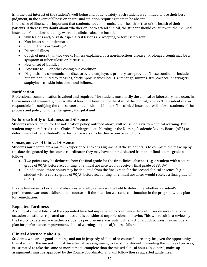is in the best interest of the student's well-being and patient safety. Each student is reminded to use their best judgment, in the event of illness or an unusual situation requiring them to be absent.

 In the case of illness, it is important that students not compromise their health or that of the health of their patients. If there is any doubt about whether or not to attend clinical, the student should consult with their clinical instructor. Conditions that may warrant a clinical absence include:

- Skin lesions and/or rash, especially if lesions are weeping, or fever is present
- Non-intact skin or dermatitis
- Conjunctivitis or "pinkeye"
- Diarrheal illness
- ● Cough of more than two weeks (unless explained by a non-infectious disease). Prolonged cough may be a symptom of tuberculosis or Pertussis.
- New onset of jaundice
- Exposure to TB or other contagious condition
- ● Diagnosis of a communicable disease by the employee's primary care provider. These conditions include, but are not limited to, measles, chickenpox, scabies, lice, TB, impetigo, mumps, streptococcal pharyngitis, staphylococcal skin infections, and influenza.

#### <span id="page-32-0"></span>**Notification**

 Professional communication is valued and required. The student must notify the clinical or laboratory instructor, in the manner determined by the faculty, at least one hour before the start of the clinical/lab day. The student is also responsible for notifying the course coordinator, within 24 hours. The clinical instructor will inform students of the process and policy to notify the agency/hospital unit.

#### <span id="page-32-1"></span>**Failure to Notify of Lateness and Absence**

 Students who fail to follow the notification policy, outlined above, will be issued a written clinical warning. The student may be referred to the Chair of Undergraduate Nursing or the Nursing Academic Review Board (ARB) to determine whether a student's performance warrants further action or sanctions.

#### <span id="page-32-2"></span>**Consequences of Clinical Absence**

 Students must complete a make-up experience and/or assignment. If the student fails to complete the make up by the date designated by the course coordinator, they may have points deducted from their final course grade as follows:

- ● Two points may be deducted from the final grade for the first clinical absence (e.g. a student with a course grade of 90/A- before accounting for clinical absence would receive a final grade of 88/B+)
- ● An additional three points may be deducted from the final grade for the second clinical absence (e.g. a student with a course grade of 90/A- before accounting for clinical absences would receive a final grade of 85/B)

 If a student exceeds two clinical absences, a faculty review will be held to determine whether a student's performance warrants a failure in the course or if the situation warrants continuation in the program with a plan for remediation.

## <span id="page-32-3"></span>**Repeated Tardiness**

 Arriving at clinical late or at the appointed time but unprepared to commence clinical duties on more than one occasion constitutes repeated tardiness and is considered unprofessional behavior. This will result in a review by the faculty to determine whether a student's performance warrants further actions. Such actions may include a plan for performance improvement, clinical warning, or clinical/course failure.

## <span id="page-32-4"></span>**Clinical Absence Make-Up**

 Students, who are in good standing, and not in jeopardy of clinical or course failure, may be given the opportunity to make up for the missed clinical. An alternative assignment, to assist the student in meeting the course objectives, is estimated to take the same or more time to complete than the missed clinical hours. In general, make-up assignments must be approved by the Course Coordinator and will follow these suggested guidelines: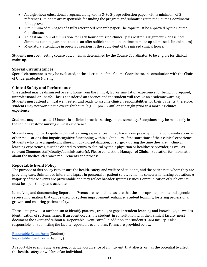- ● An eight-hour educational program, along with a 3- to 5-page reflection paper, with a minimum of 5 references. Students are responsible for finding the program and submitting it to the Course Coordinator for approval.
- ● A minimum of ten pages of a fully referenced research paper. The topic must be approved by the Course Coordinator.
- ● At least one hour of simulation, for each hour of missed clinical, plus written assignment. (Please note, Simmons cannot guarantee that it can offer sufficient simulation time to make up all missed clinical hours)
- Mandatory attendance in open lab sessions is the equivalent of the missed clinical hours.

 Students must be meeting course outcomes, as determined by the Course Coordinator, to be eligible for clinical make-up.

#### <span id="page-33-0"></span>**Special Circumstances**

 Special circumstances may be evaluated, at the discretion of the Course Coordinator, in consultation with the Chair of Undergraduate Nursing.

#### <span id="page-33-1"></span>**Clinical Safety and Performance**

 The student may be dismissed or sent home from the clinical, lab, or simulation experience for being unprepared, unprofessional, or unsafe. This is considered an absence and the student will receive an academic warning. Students must attend clinical well rested, and ready to assume clinical responsibilities for their patients; therefore, students may not work in the overnight hours (e.g. 11 pm – 7 am) on the night prior to a morning clinical experience.

 Students may not exceed 12 hours, in a clinical practice setting, on the same day. Exceptions may be made only in the senior capstone nursing clinical experience.

 Students may not participate in clinical learning experiences if they have taken prescription narcotic medication or other medications that impair cognitive functioning within eight hours of the start time of their clinical experience. Students who have a significant illness, injury, hospitalization, or surgery, during the time they are in clinical learning experiences, must be cleared to return to clinical by their physician or healthcare provider, as well as relevant Simmons staff/faculty/administrator(s). Please contact the Manager of Clinical Education for information about the medical clearance requirements and process.

#### <span id="page-33-2"></span>**Reportable Event Policy**

 The purpose of this policy is to ensure the health, safety, and welfare of students, and the patients to whom they are providing care. Unintended injury and lapses in personal or patient safety remain a concern in nursing education. A majority of these events are preventable and may reflect broader systems issues. Communication of such events must be open, timely, and accurate.

 Identifying and documenting Reportable Events are essential to assure that the appropriate persons and agencies receive information that can be used for system improvement, enhanced student learning, fostering professional growth, and ensuring patient safety.

 These data provide a mechanism to identify patterns, trends, or gaps in student learning and knowledge, as well as identification of systems issues. If an event occurs, the student, in consultation with their clinical faculty, must document the event and submit a "Reportable Event Form." In addition, the student's CDM faculty is also responsible for submitting the faculty reportable event form. Forms are provided below.

 [Reportable](https://docs.google.com/forms/d/e/1FAIpQLSeKNY3Spw3BMe2EK9Qowon0pUuZpBG2KosqwNxIpysWAyO-yQ/viewform?usp=sf_link) Event Form (Student) [Reportable](https://docs.google.com/forms/d/e/1FAIpQLSdfN22qB72cM1qh8yN6jwzxkyxx8393C8MujXfMIc7Uo--99g/viewform?usp=sf_link) Event Form (Faculty)

 A reportable event is any assertion, or actual occurrence of an incident, that affects, or has the potential to affect, the health, safety, or welfare of an individual.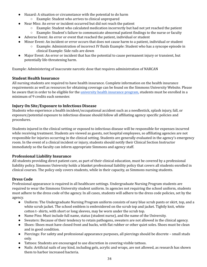- ● Hazard: A situation or circumstance with the potential to do harm
	- Example: Student who arrives to clinical unprepared
- ● Near Miss: An error or incident occurred but did not reach the patient
	- Example: Student who calculated medication incorrectly but had not yet reached the patient
	- Example: Student's failure to communicate abnormal patient findings to the nurse or faculty
- Adverse Event: An error or event that reached the patient, individual or student
- ● Minor Event: An incident or error occurs that does not cause harm to a patient, individual or student
	- ○ Example: Administration of incorrect IV fluids Example: Student who has a syncope episode in clinical Example: Side rails are down
- ● Major Event: An error or incident that has the potential to cause permanent injury or transient, but potentially life-threatening harm.

Example: Administering of inaccurate narcotic dose that requires administration of NARCAN

# <span id="page-34-0"></span>**Student Health Insurance**

 All nursing students are required to have health insurance. Complete information on the health insurance requirements as well as resources for obtaining coverage can be found on the Simmons University Website. Please be aware that in order to be eligible for the <u>[university](https://www.simmons.edu/admissions-and-financial-aid/financial-aid-and-affordability/billing-and-payment/student-health-insurance) health insurance program,</u> students must be enrolled in a minimum of 9 credits each semester.

# <span id="page-34-1"></span>**Injury On Site/Exposure to Infectious Disease**

 Students who experience a health incident/occupational accident such as a needlestick, splash injury, fall, or exposure/potential exposure to infectious disease should follow all affiliating agency specific policies and procedures.

 Students injured in the clinical setting or exposed to infectious disease will be responsible for expenses incurred while receiving treatment. Students are viewed as guests, not hospital employees, so affiliating agencies are not responsible for injuries occurring in the clinical setting. Students are generally evaluated in the agency's emergency room. In the event of a clinical incident or injury, students should notify their Clinical Section Instructor immediately so the faculty can inform appropriate Simmons and agency staff.

# <span id="page-34-2"></span>**Professional Liability Insurance**

 All students providing direct patient care, as part of their clinical education, must be covered by a professional liability policy. Simmons University holds a blanket professional liability policy that covers all students enrolled in clinical courses. The policy only covers students, while in their capacity, as Simmons nursing students.

# <span id="page-34-3"></span>**Dress Code**

 Professional appearance is required in all healthcare settings. Undergraduate Nursing Program students are required to wear the Simmons University student uniform. In agencies not requiring the school uniform, students must adhere to the dress code of the agency. In all cases, students will adhere to the dress code policies, set by the agency.

- ● Uniform: The Undergraduate Nursing Program uniform consists of navy blue scrub pants or skirt, top, and a white scrub jacket. The school emblem is embroidered on the scrub top and jacket. Tightly knit, white cotton t- shirts, with short or long sleeves, may be worn under the scrub top.
- Name Pins: Must include full name, status (student nurse), and the name of the University.
- Sweaters: Because of their tendency to retain pathogens, sweaters are not allowed in the clinical agency.
- ● Shoes: Shoes must have closed front and backs, with flat rubber or other quiet soles. Shoes must be clean and in good condition.
- ● Piercings: For safety and professional appearance purposes, all piercings should be discrete small studs only.
- Tattoos: Students are encouraged to use discretion in covering visible tattoos.
- ● Nails: Artificial nails of any kind, including gels, acrylic and wraps, are not allowed, as research has shown them to harbor increased bacteria.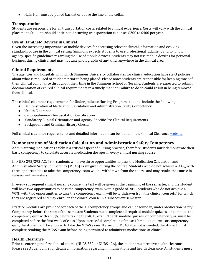● Hair: Hair must be pulled back at or above the line of the collar.

#### <span id="page-35-0"></span>**Transportation**

 Students are responsible for all transportation costs, related to clinical experience. Costs will vary with the clinical placement. Students should anticipate incurring transportation expenses \$200 to \$400 per year.

#### <span id="page-35-1"></span>**Use of Handheld Devices in Clinical**

 Given the increasing importance of mobile devices for accessing relevant clinical information and evolving standards of use in the clinical setting, Simmons expects students to use professional judgment and to follow agency-specific guidelines regarding the use of mobile devices. Students may not use mobile devices for personal business during clinical and may not take photographs of any kind, anywhere in the clinical area.

#### <span id="page-35-2"></span>**Clinical Requirements**

 The agencies and hospitals with which Simmons University collaborates for clinical education have strict policies about what is required of students prior to being placed. Please note: Students are responsible for keeping track of their clinical compliance throughout their time in the Simmons School of Nursing. Students are expected to submit documentation of expired clinical requirements in a timely manner. Failure to do so could result in being removed from clinical.

The clinical clearance requirements for Undergraduate Nursing Program students include the following:

- Demonstration of Medication Calculation and Administration Safety Competency
- Health Clearance
- Cardiopulmonary Resuscitation Certification
- Mandatory Clinical Orientation and Agency-Specific Pre-Clinical Requirements
- Background and Criminal History Checks

Full clinical clearance requirements and detailed information can be found on the Clinical Clearance [website](https://internal.simmons.edu/students/academics/nursing/clinical-clearance).

#### <span id="page-35-3"></span> **Demonstration of Medication Calculation and Administration Safety Competency**

 Administering medications safely is a critical aspect of nursing practice; therefore, students must demonstrate their basic competency to calculate accurate medication dosages in every clinical nursing course.

 In NURS 295/295-AC/494,, students will have three opportunities to pass the Medication Calculation and Administration Safety Competency (MCAS) exam given during the course. Students who do not achieve a 90%, with three opportunities to take the competency exam will be withdrawn from the course and may retake the course in subsequent semesters.

 In every subsequent clinical nursing course, the test will be given at the beginning of the semester, and the student will have two opportunities to pass the competency exam, with a grade of 90%. Students who do not achieve a 90%, with two opportunities to take the competency exam, will be withdrawn from the clinical course(s) for which they are registered and may enroll in the clinical course in a subsequent semester.

 Practice modules are provided for each of the 10 competency groups and can be found in, under Medication Safety Competency, before the start of the semester. Students must complete all required module quizzes, or complete the competency quiz with a 90%, before taking the MCAS exam. The 10 module quizzes, or competency quiz, must be completed before the first week of class. Upon successful completion of these 10 module quizzes or competency quiz, the student will be allowed to take the MCAS exam. If a second MCAS attempt is needed, the student must complete retaking the MCAS exam before being permitted to administer medications at clinical.

#### <span id="page-35-4"></span>**Health Clearance**

 Prior to entering the first clinical course (NURS 332 or NURS 426), the student must receive health clearance. Please see Addendum 2 for detailed information regarding immunizations and health clearance. All students must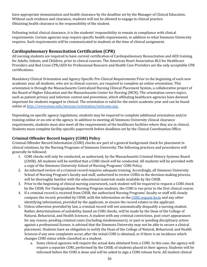have appropriate immunization and health clearance by the deadline set by the Manager of Clinical Education. Without such evidence and clearance, students will not be allowed to engage in clinical practice. Obtaining health clearance is the responsibility of the student.

 Following initial clinical clearance, it is the students' responsibility to remain in compliance with clinical requirements. Certain agencies may require specific health requirements, in addition to what Simmons University requires. Such requirements will be communicated to students at the time of clinical assignment.

# <span id="page-36-0"></span>**Cardiopulmonary Resuscitation Certification (CPR)**

 All nursing students are required to have current certification of Cardiopulmonary Resuscitation and AED training for Adults, Infants, and Children, prior to clinical courses. The American Heart Association BLS for Healthcare Providers and Red Cross CPR/AED for Professional Rescuers and Health Care Providers are the only acceptable CPR certifications.

 Mandatory Clinical Orientation and Agency-Specific Pre-Clinical Requirements Prior to the beginning of each new academic year, all students, who are in clinical courses, are required to complete an online orientation. This orientation is through the Massachusetts Centralized Nursing Clinical Placement System, a collaborative project of the Board of Higher Education and the Massachusetts Center for Nursing (MCN). The orientation covers topics, such as patient privacy and infection control and prevention, which affiliating healthcare agencies have deemed important for students engaged in clinical. The orientation is valid for the entire academic year and can be found online at [http://www.mass.edu/mcncps/orientation/welcome.asp.](http://www.mass.edu/mcncps/orientation/welcome.asp)

 Depending on specific agency regulations, students may be required to complete additional orientation and/or training online or on-site at the agency. In addition to meeting all Simmons University clinical clearance requirements, students must also meet all the requirements of the healthcare facilities where they are in clinical. Students must complete facility-specific paperwork before deadlines set by the Clinical Coordination Office.

# <span id="page-36-1"></span>**Criminal Offender Record Inquiry (CORI) Policy**

 Criminal Offender Record Information (CORI) checks are part of a general background check for placement in clinical rotations, by the Nursing Programs of Simmons University. The following practices and procedures will generally be followed:

- 1. CORI checks will only be conducted, as authorized, by the Massachusetts Criminal History Systems Board (CHSB). All students will be notified that a CORI check will be conducted. All students will be provided with a copy of the Simmons University School of Nursing Programs' CORI Policy.
- 2. An informed review of a criminal record requires adequate training. Accordingly, all Simmons University School of Nursing Program's faculty and staff, authorized to review CORIs in the decision-making process, will be thoroughly familiar with the educational materials made available by the CHSB.
- 3. Prior to the beginning of clinical nursing coursework, each student will be required to request a CORI check by the CHSB. For Undergraduate Nursing Program students, the CORI is run prior to the first clinical course.
- 4. If a criminal record is received from CHSB, the authorized Nursing Programs' faculty or staff will closely compare the record, provided by CHSB, with the information on the CORI [request](https://internal.simmons.edu/wp-content/uploads/2019/07/CORI-Release-Form.pdf) form and any other identifying information, provided by the applicant, to ensure the record relates to the applicant.
- 5. Unless otherwise provided by law, a criminal record will not automatically disqualify a nursing student. Rather, determinations of suitability, based on CORI checks, will be made by the Dean of the College of Natural, Behavioral, and Health Sciences. A student with any criminal convictions, past court appearances for any reason, pending criminal cases (including misdemeanors), or past or pending disciplinary action against a professional license, is advised that the Simmons University may not be able to secure a clinical placement. Students have an obligation to notify the Dean of the College of Natural, Behavioral, and Health Sciences if any new complaints occur, after the initial CORI is obtained, or if there is an incidence which changes CORI status while classified as a student.
	- a. Some clinical agencies will require the actual data obtained from a CORI. In this case, the agency will require a separate CORI, performed by the CHSB, of students placed in their agency. Students will be informed before the CORI is done and will be asked to sign a CORI release form. All student clinical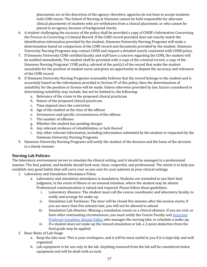placements are at the discretion of the agency; therefore, agencies do not have to accept students with CORI issues. The School of Nursing at Simmons cannot be held responsible for alternate clinical placements of students who are withdrawn from a clinical placement, or who cannot be placed in an agency, because of background checks.

- 6. A student challenging the accuracy of the policy shall be provided a copy of CHSB's Information Concerning the Process in Correcting a Criminal Record. If the CORI record provided does not exactly match the identification information provided by the student, Simmons University Nursing Programs will make a determination based on comparison of the CORI record and documents provided by the student. Simmons University Nursing Programs may contact CHSB and request a detailed search consistent with CHSB policy.
- 7. If Simmons University CORI-certified faculty and staff have a concern regarding the CORI, the student will be notified immediately. The student shall be provided with a copy of the criminal record, a copy of the Simmons Nursing Programs' CORI policy, advised of the part(s) of the record that make the student unsuitable for the position of student nurse and given an opportunity to dispute the accuracy and relevance of the CORI record.
- 8. If Simmons University Nursing Programs reasonably believes that the record belongs to the student and is accurately based on the information provided in Section IV of this policy, then the determination of suitability for the position or license will be made. Unless otherwise provided by law, factors considered in determining suitability may include, but not be limited to, the following:
	- a. Relevance of the crime to the proposed clinical practicum
	- b. Nature of the proposed clinical practicum
	- c. Time elapsed since the conviction
	- d. Age of the student at the time of the offense
	- e. Seriousness and specific circumstances of the offense
	- f. The number of offenses
	- g. Whether the student has pending charges
	- h. Any relevant evidence of rehabilitation, or lack thereof
	- i. Any other relevant information, including information submitted by the student or requested by the Simmons University Nursing Programs
- 9. Simmons University Nursing Programs will notify the student of the decision and the basis of the decision in a timely manner.

#### <span id="page-37-0"></span>**Nursing Lab Policies**

 The laboratory environment serves to simulate the clinical setting, and it should be managed in a professional manner. The bed, patient, and bedside should look neat, clean, respectful, and professional. The intent is to help you establish very good habits that will carry over as you care for your patients in your clinical settings.

- 1. Laboratory and Simulation Attendance Policy
	- a. Laboratory and simulation attendance is mandatory. Students are reminded to use their best judgment, in the event of illness or an unusual situation, where the student may be absent. Professional communication is valued and required. Please follow these guidelines.
		- i. Laboratory Absence: The student must call the course coordinator and laboratory faculty, to notify and arrange for make-up.
		- ii. Simulation Lab Tardiness: The door will be closed five minutes after the session starts; if you are more than five minutes late, you will not be allowed to attend.
		- iii. Simulation Lab Absence: Missing a simulation counts as a clinical absence. If you are sick, or have other extenuating circumstances, you must notify the Course Faculty and <u>[Associate](mailto:josephine.faller@simmons.edu)</u> Professor Josephine [Atinaja-Faller,](mailto:josephine.faller@simmons.edu) who manages the nursing labs, to schedule a make-up.
		- iv. If a student does not make up the missed simulation or lab, a 2-point deduction from the final grade may be applied.
- 2. Basic Rules of Lab Usage
	- a. Keep the labs neat. This is your workspace, and it will be most useful to you if it is kept tidy and well organized.
	- b. Lab equipment is for use only in the lab. Anything removed from the lab will be considered stolen equipment and will be dealt with as such.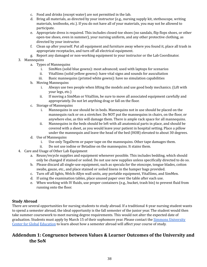- c. Food and drinks (except water) are not permitted in the lab.
- d. Bring all materials, as directed by your instructor (e.g., nursing supply kit, stethoscope, writing materials, textbooks, etc.). If you do not have all of your materials, you may not be allowed to participate.
- e. Appropriate dress is required. This includes closed-toe shoes (no sandals, flip flops shoes, or other open-toe shoes, even in summer), your nursing uniform, and any other protective clothing, as directed by your instructor.
- f. Clean up after yourself. Put all equipment and furniture away where you found it, place all trash in appropriate receptacles, and turn off all electrical equipment.
- g. Report any damaged or non-working equipment to your instructor or the Lab Coordinator.

#### 3. Mannequins

- a. Types of Mannequins
	- i. SimMen (solid blue gowns): most advanced; used with laptops for scenarios
	- ii. VitalSims (solid yellow gowns): have vital signs and sounds for auscultation
	- iii. Basic mannequins (printed white gowns): have no simulation capabilities
- b. Moving Mannequins
	- i. Always use two people when lifting the models and use good body mechanics. (Lift with your legs, etc.)
	- ii. If moving a SimMan or VitalSim, be sure to move all associated equipment carefully and appropriately. Do not let anything drag or fall on the floor.
- c. Storage of Mannequins
	- i. Mannequins in use should be in beds. Mannequins not in use should be placed on the mannequin rack or on a stretcher. Do NOT put the mannequins in chairs, on the floor, or anywhere else, as this will damage them. There is ample rack space for all mannequins.
	- ii. Mannequins in the beds should be left with all anatomical parts in place, and should be covered with a sheet, as you would leave your patient in hospital setting. Place a pillow under the mannequin and leave the head of the bed (HOB) elevated to about 30 degrees.
- d. Use of Mannequins
	- i. Use only TegaDerm or paper tape on the mannequins. Other tape damages them.
	- ii. Do not use iodine or Betadine on the mannequins. It stains them.
- 4. Care and Usage of Other Lab Equipment
	- a. Reuse/recycle supplies and equipment whenever possible. This includes bedding, which should only be changed if stained or soiled. Do not use new supplies unless specifically directed to do so.
	- b. Please discard all single-use equipment, such as specula for the otoscope, tongue blades, cotton swabs, gauze, etc., and place stained or soiled linens in the hamper bags provided.
	- c. Turn off all lights, Welch-Allyn wall units, any portable equipment, VitalSims, and SimMen.
	- d. If using the examination tables, place unused paper over the table after each use.
	- e. When working with IV fluids, use proper containers (e.g., bucket, trash bin) to prevent fluid from running onto the floor.

#### <span id="page-38-0"></span>**Study Abroad**

 There are several opportunities for nursing students to study abroad. If a traditional 4-year nursing student wants to spend a semester abroad, the ideal opportunity is the fall semester of the junior year. The student would then take summer coursework to meet nursing degree requirements. This would not alter the expected date of graduation. Students must apply by March 15 of their sophomore year. Please contact the <u>Simmons [University](https://www.simmons.edu/undergraduate/academics/study-abroad)</u> [Center](https://www.simmons.edu/undergraduate/academics/study-abroad) for Global [Education](https://www.simmons.edu/undergraduate/academics/study-abroad) to learn about how a semester abroad will affect your course of study.

# <span id="page-38-1"></span> **Addendum 1: Congruence between Values & Learner Outcomes of the University and the SoN**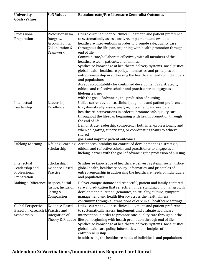| <b>University</b><br>Goals/Values                                     | <b>SoN Values</b>                                                                       | <b>Baccalaureate/Pre-Licensure Generalist Outcomes</b>                                                                                                                                                                                                                                                                                                                                                                                                                                                                                                                                                                                                                                                                                                                                                                                                       |
|-----------------------------------------------------------------------|-----------------------------------------------------------------------------------------|--------------------------------------------------------------------------------------------------------------------------------------------------------------------------------------------------------------------------------------------------------------------------------------------------------------------------------------------------------------------------------------------------------------------------------------------------------------------------------------------------------------------------------------------------------------------------------------------------------------------------------------------------------------------------------------------------------------------------------------------------------------------------------------------------------------------------------------------------------------|
|                                                                       |                                                                                         |                                                                                                                                                                                                                                                                                                                                                                                                                                                                                                                                                                                                                                                                                                                                                                                                                                                              |
| Professional<br>Preparation                                           | Professionalism,<br>Integrity,<br>Accountability,<br>Collaboration &<br><b>Teamwork</b> | Utilize current evidence, clinical judgment, and patient preference<br>to systematically assess, analyze, implement, and evaluate<br>healthcare interventions in order to promote safe, quality care<br>throughout the lifespan, beginning with health promotion through<br>end of life.<br>Communicate/collaborate effectively with all members of the<br>healthcare team, patients, and families.<br>Synthesize knowledge of healthcare delivery systems, social justice,<br>global health, healthcare policy, informatics, and principles of<br>entrepreneurship in addressing the healthcare needs of individuals<br>and populations.<br>Accept accountability for continued development as a strategic,<br>ethical, and reflective scholar and practitioner to engage as a<br>lifelong learner<br>with the goal of advancing the profession of nursing. |
| Intellectual<br>Leadership                                            | Leadership<br>Excellence                                                                | Utilize current evidence, clinical judgment, and patient preference<br>to systematically assess, analyze, implement, and evaluate<br>healthcare interventions in order to promote safe, quality care<br>throughout the lifespan beginning with health promotion through<br>the end of life.<br>Demonstrate leadership competency both inter-professionally and<br>when delegating, supervising, or coordinating teams to achieve<br>shared<br>goals and improve patient outcomes.                                                                                                                                                                                                                                                                                                                                                                            |
| Lifelong Learning                                                     | Lifelong Learning<br>Scholarship                                                        | Accept accountability for continued development as a strategic,<br>ethical, and reflective scholar and practitioner to engage as a<br>lifelong learner with the goal of advancing the profession of nursing.                                                                                                                                                                                                                                                                                                                                                                                                                                                                                                                                                                                                                                                 |
| Intellectual<br>Leadership and<br>Professional<br>Preparation         | Scholarship<br>Evidence-Based<br>Practice                                               | Synthesize knowledge of healthcare delivery systems, social justice,<br>global health, healthcare policy, informatics, and principles of<br>entrepreneurship in addressing the healthcare needs of individuals<br>and populations.                                                                                                                                                                                                                                                                                                                                                                                                                                                                                                                                                                                                                           |
| Making a Difference                                                   | Respect, Social<br>Justice, Inclusion,<br>Caring &<br>Compassion                        | Deliver compassionate and respectful, patient and family-centered<br>care and education that reflects an understanding of human growth,<br>development, nutrition, genomics, spirituality, culture, symptom<br>management, and health literacy across the health illness<br>continuum through all transitions of care in all healthcare settings.                                                                                                                                                                                                                                                                                                                                                                                                                                                                                                            |
| Global Perspective<br>Based on Research & Practice and<br>Scholarship | Evidence-Based<br>Integration of<br>Theory & Practice                                   | Utilize current evidence, clinical judgment, and patient preference<br>to systematically assess, implement, and evaluate healthcare<br>intervention in order to promote safe, quality care throughout the<br>lifespan beginning with health promotion through end of life.<br>Synthesize knowledge of healthcare delivery systems, social justice,<br>global healthcare policy, informatics, and principles of<br>entrepreneurship<br>in addressing the healthcare needs of individuals and populations.                                                                                                                                                                                                                                                                                                                                                     |

# <span id="page-39-0"></span> **Addendum 2: Vaccinations/Immunizations Required for Clinical**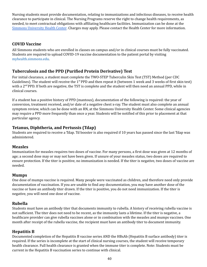Nursing students must provide documentation, relating to immunizations and infectious diseases, to receive health clearance to participate in clinical. The Nursing Programs reserve the right to change health requirements, as needed, to meet contractual obligations with affiliating healthcare facilities. Immunization can be done at the Simmons [University](https://www.simmons.edu/your-simmons/student-support-resources/health-center) Health Center. Charges may apply. Please contact the Health Center for more information.

# <span id="page-40-0"></span>**COVID Vaccine**

 All Simmons students who are enrolled in classes on campus and/or in clinical courses must be fully vaccinated. Students are required to upload COVID-19 vaccine documentation to the patient portal by visiting [myhealth.simmons.edu.](https://www.simmons.edu/your-simmons/student-support-resources/health-center/portal)

# <span id="page-40-1"></span> **Tuberculosis and the PPD (Purified Protein Derivative) Test**

 For initial clearance, a student must complete the TWO-STEP Tuberculin Skin Test (TST) Method (per CDC Guidelines). The student will receive the  $1^{st}$ PPD and then repeat it (between 1 week and 3 weeks of first skin test) with a 2<sup>nd</sup> PPD. If both are negative, the TST is complete and the student will then need an annual PPD, while in clinical courses.

 If a student has a positive history of PPD (mantoux), documentation of the following is required: the year of conversion, treatment received, and/or date of a negative chest x-ray. The student must also complete an annual symptom review, which can be done with an RN, at the Simmons University Health Center. Some clinical agencies may require a PPD more frequently than once a year. Students will be notified of this prior to placement at that particular agency.

# <span id="page-40-2"></span> **Tetanus, Diphtheria, and Pertussis (Tdap)**

 Students are required to receive a Tdap. Td booster is also required if 10 years has passed since the last Tdap was administered.

## <span id="page-40-3"></span>**Measles**

 Immunization for measles requires two doses of vaccine. For many persons, a first dose was given at 12 months of age; a second dose may or may not have been given. If unsure of your measles status, two doses are required to ensure protection. If the titer is positive, no immunization is needed. If the titer is negative, two doses of vaccine are needed.

## <span id="page-40-4"></span>**Mumps**

 One dose of mumps vaccine is required. Many people were vaccinated as children, and therefore need only provide documentation of vaccination. If you are unable to find any documentation, you may have another dose of the vaccine or have an antibody titer drawn. If the titer is positive, you do not need immunization. If the titer is negative, you will need one dose of vaccine.

# <span id="page-40-5"></span>**Rubella**

 Students must have an antibody titer that documents immunity to rubella. A history of receiving rubella vaccine is not sufficient. The titer does not need to be recent, as the immunity lasts a lifetime. If the titer is negative, a healthcare provider can give rubella vaccines alone or in combination with the measles and mumps vaccines. One month after receipt of the rubella vaccine, the recipient must have an antibody titer to document immunity.

# <span id="page-40-6"></span>**Hepatitis B**

 Documented completion of the Hepatitis B vaccine series AND the HBsAb (Hepatitis B surface antibody) titer is required. If the series is incomplete at the start of clinical nursing courses, the student will receive temporary health clearance. Full health clearance is granted when the immune titer is complete. Note: Students must be current in the Hepatitis B vaccination series to continue with clinical.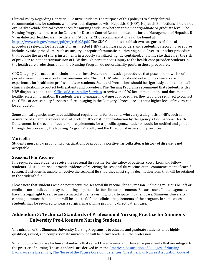Clinical Policy Regarding Hepatitis B Positive Students The purpose of this policy is to clarify clinical recommendations for students who have been diagnosed with Hepatitis B (HBV). Hepatitis B infections should not ordinarily exclude clinical experiences for nursing students whether at the undergraduate or graduate level. The Nursing Programs adhere to the Centers for Disease Control Recommendations for the Management of Hepatitis B Virus-Infected Health-Care Providers and Students. CDC recommendations can be found at <https://www.cdc.gov/mmwr/pdf/rr/rr6103.pdf>. The CDC Guidelines establish two categories of clinical procedures relevant for Hepatitis B virus infected (HBV) healthcare providers and students. Category I procedures include invasive procedures such as surgery or repair of traumatic injuries, vaginal deliveries, or other procedures that require the use of sharp instruments in a poorly visualized, tightly contained, anatomic site that carry the risk of provider-to-patient transmission of HBV through percutaneous injury to the health-care provider. Students in the health care professions and in the Nursing Program do not ordinarily perform those procedures.

 CDC Category 2 procedures include all other invasive and non-invasive procedures that pose no or low risk of percutaneous injury in a contained anatomic site. Chronic HBV infection should not exclude clinical care experiences for healthcare professionals or students. Standard Precautions should be rigorously adhered to in all clinical situations to protect both patients and providers. The Nursing Programs recommend that students with a HBV diagnosis contact the *Office of [Accessibility](https://www.simmons.edu/your-simmons/commitment-inclusivity/accessibility-services) [Services](https://www.simmons.edu/your-simmons/commitment-inclusivity/accessibility-services)* to review the CDC Recommendations and document health-related information. If students were to engage in Category I Procedures, they would be required to contact the Office of Accessibility Services before engaging in the Category I Procedure so that a higher level of review can be conducted.

 Some clinical agencies may have additional requirements for students who carry a diagnosis of HBV, such as assurance of an annual review of viral levels of HBV or student evaluation by the agency's Occupational Health Department. In the event of additional requirements for a specific agency, students would be notified and guided through the process by the Nursing Programs' faculty and the Director of Accessibility Services.

# <span id="page-41-0"></span>**Varicella**

 Students must show proof of two vaccinations or proof of a positive varicella titer. A history of disease is not acceptable.

# <span id="page-41-1"></span> **Seasonal Flu Vaccine**

 It is required that students receive the seasonal flu vaccine, for the safety of patients, coworkers, and fellow students. All students shall provide evidence of receiving the seasonal flu vaccine, at the commencement of each flu season. If a student is unable to receive the seasonal flu shot, they must sign a declination form that will be retained in the student's file.

 Please note that students who do not receive the seasonal flu vaccine, for any reason, including religious beliefs or medical contraindication, may be limiting opportunities for clinical placements. Because our affiliated agencies have the legal right to refuse unvaccinated students wishing to participate in patient care, Simmons University cannot guarantee that students will be able to fulfill the clinical requirements of the program. In some cases, students may be required to wear a surgical mask while providing direct patient care.

# <span id="page-41-2"></span> **Addendum 3: Technical Standards of Professional Nursing Practice for Simmons University Pre-Licensure Nursing Students**

 The mission of the Simmons University Nursing Programs is to educate and graduate students to be highly qualified, skilled, and compassionate nurses who will be future leaders in the profession.

 What follows below are technical standards that reflect the academic and clinical requirements that are integral to the practice of nursing. These standards are derived from the American [Association](https://www.aacnnursing.org/Portals/42/Publications/BaccEssentials08.pdf) of Colleges of Nursing [Baccalaureate](https://www.aacnnursing.org/Portals/42/Publications/BaccEssentials08.pdf) Essentials, [The](https://www.mass.edu/nahi/documents/NOFRNCompetencies_updated_March2016.pdf) Nurse of the Future Core [Competencies,](https://www.mass.edu/nahi/documents/NOFRNCompetencies_updated_March2016.pdf) The American Nurses [Association](https://www.nursingworld.org/coe-view-only) Code of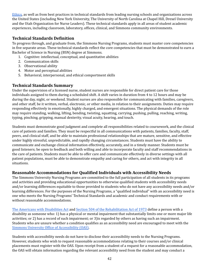[Ethics,](https://www.nursingworld.org/coe-view-only) as well as from best practices in technical standards from leading nursing schools and organizations across the United States (including New York University, The University of North Carolina at Chapel Hill, Drexel University and the Utah Organization for Nurse Leaders). These technical standards apply in all areas of student academic experiences, including classroom, laboratory, offices, clinical, and Simmons community environments.

# <span id="page-42-0"></span> **Technical Standards Definition**

 To progress through, and graduate from, the Simmons Nursing Programs, students must master core competencies in five separate areas. These technical standards reflect the core competencies that must be demonstrated to earn a Bachelor of Science in Nursing (BSN) degree at Simmons.

- 1. Cognitive: intellectual, conceptual, and quantitative abilities
- 2. Communication skills
- 3. Observational ability
- 4. Motor and perceptual abilities
- 5. Behavioral, interpersonal, and ethical comportment skills

# <span id="page-42-1"></span> **Technical Standards Summary**

 Under the supervision of a licensed nurse, student nurses are responsible for direct patient care for those individuals assigned to them during a scheduled shift. A shift varies in duration from 4 to 12 hours and may be during the day, night, or weekend. Student nurses are also responsible for communicating with families, caregivers, and other staff, be it written, verbal, electronic, or other media, in relation to their assignments. Duties may require responding effectively in emotionally, highly charged, and emergent situations. The physical demands of the role may require standing, walking, lifting, bending, twisting, squatting, carrying, pushing, pulling, reaching, writing, typing, pinching, gripping, manual dexterity, visual acuity, hearing, and touch.

 Students must demonstrate good judgment and complete all responsibilities related to coursework, and the clinical care of patients and families. They must be respectful in all communications with patients, families, faculty, staff, peers, and clinical staff, and be able to maintain professional relationships that are mature, sensitive, and effective under highly stressful, unpredictable, and rapidly changing circumstances. Students must have the ability to communicate and exchange clinical information effectively, accurately, and in a timely manner. Students must be good listeners; be open to feedback and both willing and able to incorporate faculty and staff recommendations in the care of patients. Students must be able to offer care and communicate effectively in diverse settings with all patient populations, must be able to demonstrate empathy and caring for others, and act with integrity in all situations.

# <span id="page-42-2"></span> **Reasonable Accommodations for Qualified Individuals with Accessibility Needs**

 The Simmons University Nursing Programs are committed to the full participation of all students in its programs and activities and providing educational opportunities to otherwise qualified students with accessibility needs and/or learning differences equitable to those provided to students who do not have any accessibility needs and/or learning differences. For the purposes of the Nursing Programs, a "qualified individual" with an accessibility need is one who meets the Nursing Programs' Technical Standards and academic and conduct requirements with or without reasonable accommodations.

The Americans with [Disabilities](https://www.ada.gov/pubs/adastatute08.htm) Act and Section 504 of the [Rehabilitation](https://www.dol.gov/agencies/oasam/civil-rights-center/statutes/section-504-rehabilitation-act-of-1973) Act of 1973 define a person with a disability as someone who: 1) has a physical or mental impairment that substantially limits one or more major life activities; or 2) has a record of such impairment; or 3)is regarded by others as having such an impairment. Students who are unsure whether a condition qualifies as an accessibility need are encouraged to meet with the Simmons University Office of [Accessibility](https://www.simmons.edu/your-simmons/commitment-inclusivity/accessibility-services) (OAS).

 Students with accessibility needs do not have to disclose their accessibility needs to the Nursing Programs. However, students who wish to request reasonable accommodations relating to their courses and/or clinical placements must register with the OAS. Upon receipt from a student of a request for a reasonable accommodation, the OAS will obtain information regarding the relevant accessibility need from the student and may conduct a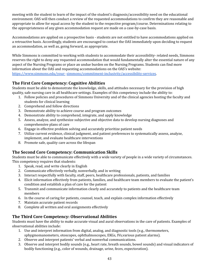meeting with the student to learn of the impact of the student's diagnosis/accessibility need on the educational environment. OAS will then conduct a review of the requested accommodations to confirm they are reasonable and appropriate to allow for equal access by the student to the respective program/course. Determinations relating to the appropriateness of any given accommodation request are made on a case-by-case basis.

 Accommodations are applied on a prospective basis - students are not entitled to have accommodations applied on a retroactive basis. Accordingly, students are encouraged to contact the OAS immediately upon deciding to request an accommodation, as well as, going forward, as appropriate.

 While Simmons is committed to working with students to accommodate their accessibility- related needs, Simmons reserves the right to deny any requested accommodation that would fundamentally alter the essential nature of any aspect of the Nursing Programs or place an undue burden on the Nursing Programs. Students can find more information about the OAS and requesting accommodations on the OAS's website: [https://www.simmons.edu/your-](https://www.simmons.edu/your-simmons/commitment-inclusivity/accessibility-services) [simmons/commitment-inclusivity/accessibility-services.](https://www.simmons.edu/your-simmons/commitment-inclusivity/accessibility-services)

# <span id="page-43-0"></span> **The First Core Competency: Cognitive Abilities**

 Students must be able to demonstrate the knowledge, skills, and attitudes necessary for the provision of high quality, safe nursing care in all healthcare settings. Examples of this competency include the ability to:

- 1. Follow policies and procedures of Simmons University and of the clinical agencies hosting the faculty and students for clinical learning
- 2. Comprehend and follow directions
- 3. Demonstrate ability to achieve course and program outcomes
- 4. Demonstrate ability to comprehend, integrate, and apply knowledge
- 5. Assess, analyze, and synthesize subjective and objective data to develop nursing diagnoses and comprehensive plans of care
- 6. Engage in effective problem solving and accurately prioritize patient needs
- 7. Utilize current evidence, clinical judgment, and patient preferences to systematically assess, analyze, implement, and evaluate healthcare interventions
- 8. Promote safe, quality care across the lifespan

# <span id="page-43-1"></span> **The Second Core Competency: Communication Skills**

 Students must be able to communicate effectively with a wide variety of people in a wide variety of circumstances. This competency requires that students:

- 1. Speak, read, and write clearly in English
- 2. Communicate effectively verbally, nonverbally, and in writing
- 3. Interact respectfully with faculty, staff, peers, healthcare professionals, patients, and families
- 4. Elicit information effectively from patients, families, and healthcare team members to evaluate the patient's condition and establish a plan of care for the patient
- 5. Transmit and communicate information clearly and accurately to patients and the healthcare team members
- 6. In the course of caring for patients, counsel, teach, and explain complex information effectively
- 7. Maintain accurate patient records
- 8. Complete all written and oral assignments effectively

# <span id="page-43-2"></span> **The Third Core Competency: Observational Abilities**

 Students must have the ability to make accurate visual and aural observations in the care of patients. Examples of observational abilities include:

- 1. Use and interpret information from digital, analog, and diagnostic tools (e.g., thermometers, sphygmomanometers, otoscopes, ophthalmoscopes, EKGs, IVs,various patient alarms).
- 2. Observe and interpret patients' verbal and nonverbal communications.
- 3. Observe and interpret bodily sounds (e.g., heart rate, breath sounds, bowel sounds) and visual indicators of bodily functioning (e.g., color of wounds, drainage, urine, feces, expectoration).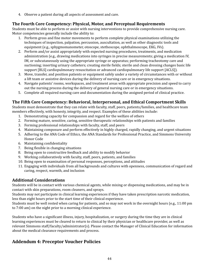4. Observe a patient during all aspects of assessment and care.

# <span id="page-44-0"></span> **The Fourth Core Competency: Physical, Motor, and Perceptual Requirements**

 Students must be able to perform or assist with nursing interventions to provide comprehensive nursing care. Motor competencies generally include the ability to:

- 1. Perform gross and fine motor movements to perform complete physical examinations utilizing the techniques of inspection, palpation, percussion, auscultation, as well as other diagnostic tools and equipment (e.g., sphygmomanometer, otoscope, stethoscope, ophthalmoscope, EKG, IVs).
- 2. Perform and/or assist appropriately with expected nursing procedures, treatments, and medication administration (e.g., drawing medications into syringes in precise measurements; giving a medication IV, IM, or subcutaneously using the appropriate syringe or apparatus; performing tracheotomy care and suctioning; inserting urinary catheters; creating sterile fields; sterile and clean dressing changes basic life support [BLS] cardiopulmonary resuscitation or advanced cardiopulmonary life support [ACLS]).
- 3. Move, transfer, and position patients or equipment safely under a variety of circumstances with or without a lift team or assistive devices during the delivery of nursing care or in emergency situations.
- 4. Navigate patients' rooms, workspaces, and treatment areas with appropriate precision and speed to carry out the nursing process during the delivery of general nursing care or in emergency situations.
- 5. Complete all required nursing care and documentation during the assigned period of clinical practice.

# <span id="page-44-1"></span> **The Fifth Core Competency: Behavioral, Interpersonal, and Ethical Comportment Skills**

 Students must demonstrate that they can relate with faculty, staff, peers, patients/families, and healthcare team members effectively, with honesty, integrity, and respect. Examples of these abilities include:

- 1. Demonstrating capacity for compassion and regard for the welfare of others
- 2. Forming mature, sensitive, caring, sensitive therapeutic relationships with patients and families
- 3. Forming professional relationships with faculty, staff, and peers
- 4. Maintaining composure and perform effectively in highly charged, rapidly changing, and urgent situations
- 5. Adhering to the ANA Code of Ethics, the ANA Standards for Professional Practice, and Simmons University Honor Code
- 6. Maintaining confidentiality
- 7. Being flexible in changing situations
- 8. Being open to constructive feedback and ability to modify behavior
- 9. Working collaboratively with faculty, staff, peers, patients, and families
- 10. Being open to examination of personal responses, perceptions, and attitudes
- 11. Engaging with individuals from all backgrounds and cultures with openness, communication of regard and caring, respect, warmth, and inclusion

# <span id="page-44-2"></span>**Additional Considerations**

 Students will be in contact with various chemical agents, while mixing or dispensing medications, and may be in contact with skin preparations, room cleaners, and sprays.

 Students may not participate in clinical learning experiences if they have taken prescription narcotic medication, less than eight hours prior to the start time of their clinical experience.

 Students must be well rested when caring for patients, and so may not work in the overnight hours (e.g., 11:00 pm to 7:00 am) on the night prior to a morning clinical experience.

 Students who have a significant illness, injury, hospitalization, or surgery during the time they are in clinical learning experiences must be cleared to return to clinical by their physician or healthcare provider, as well as relevant Simmons staff/faculty/administrator(s). Please contact the Manager of Clinical Education for information about the medical clearance requirements and process.

# <span id="page-44-3"></span> **Addendum 4: Preceptor Voucher Policies**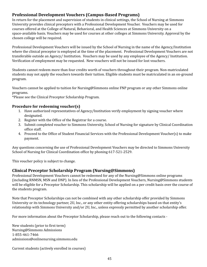# <span id="page-45-0"></span> **Professional Development Vouchers (Campus-Based Programs)**

 In return for the placement and supervision of students in clinical settings, the School of Nursing at Simmons University provides clinical preceptors with a Professional Development Voucher. Vouchers may be used for courses offered at the College of Natural, Behavioral, and Health Sciences at Simmons University on a space-available basis. Vouchers may be used for courses at other colleges at Simmons University. Approval by the chosen college will be required.

 Professional Development Vouchers will be issued by the School of Nursing in the name of the Agency/Institution where the clinical preceptor is employed at the time of the placement. Professional Development Vouchers are not transferable outside an Agency/ Institution. Vouchers may be used by any employee of the Agency/ Institution. Verification of employment may be requested. New vouchers will not be issued for lost vouchers.

 Students cannot redeem more than four credits worth of vouchers throughout their program. Non-matriculated students may not apply the vouchers towards their tuition. Eligible students must be matriculated in an on-ground program.

 Vouchers cannot be applied to tuition for Nursing@Simmons online FNP program or any other Simmons online programs.

\*Please see the Clinical Preceptor Scholarship Program.

#### <span id="page-45-1"></span>**Procedure for redeeming voucher(s)**

- 1. Have authorized representatives of Agency/Institution verify employment by signing voucher where designated.
- 2. Register with the Office of the Registrar for a course.
- 3. Submit completed voucher to Simmons University, School of Nursing for signature by Clinical Coordination office staff.
- 4. Proceed to the Office of Student Financial Services with the Professional Development Voucher(s) to make payment.

 Any questions concerning the use of Professional Development Vouchers may be directed to Simmons University School of Nursing for Clinical Coordination office by phoning 617-521-2529.

This voucher policy is subject to change.

## <span id="page-45-2"></span> **Clinical Preceptor Scholarship Program (Nursing@Simmons)**

 Professional Development Vouchers cannot be redeemed for any of the Nursing@Simmons online programs (including RNMSN, MSN and DNP). In lieu of the Professional Development Vouchers, Nursing@Simmons students will be eligible for a Preceptor Scholarship. This scholarship will be applied on a per credit basis over the course of the students program.

 Note that Preceptor Scholarships can not be combined with any other scholarship offer provided by Simmons University or its technology partner, 2U, Inc., or any other entity offering scholarships based on that entity's relationship with Simmons University and/or 2U, Inc., unless expressly permitted by another scholarship offer.

For more information about the Preceptor Scholarship, please reach out to the following contacts -

 New students (prior to first term) Nursing@Simmons Admissions 1-855-461-7466 [admissions@onlinenursing.simmons.edu](mailto:admissions@onlinenursing.simmons.edu)

Current students (actively enrolled in courses)